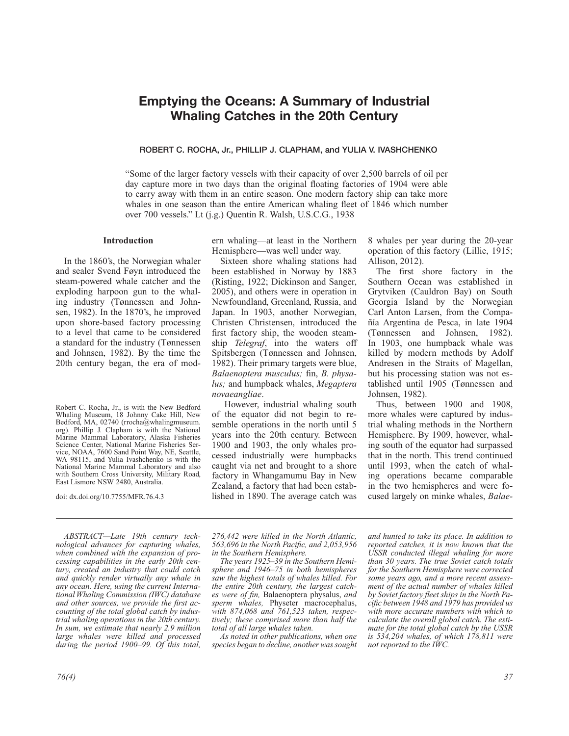# **Emptying the Oceans: A Summary of Industrial Whaling Catches in the 20th Century**

### **ROBERT C. ROCHA, Jr., PHILLIP J. CLAPHAM, and YULIA V. IVASHCHENKO**

"Some of the larger factory vessels with their capacity of over 2,500 barrels of oil per day capture more in two days than the original floating factories of 1904 were able to carry away with them in an entire season. One modern factory ship can take more whales in one season than the entire American whaling fleet of 1846 which number over 700 vessels." Lt (j.g.) Quentin R. Walsh, U.S.C.G., 1938

## **Introduction**

In the 1860's, the Norwegian whaler and sealer Svend Føyn introduced the steam-powered whale catcher and the exploding harpoon gun to the whaling industry (Tønnessen and Johnsen, 1982). In the 1870's, he improved upon shore-based factory processing to a level that came to be considered a standard for the industry (Tønnessen and Johnsen, 1982). By the time the 20th century began, the era of mod-

Robert C. Rocha, Jr., is with the New Bedford Whaling Museum, 18 Johnny Cake Hill, New Bedford, MA, 02740 (rrocha@whalingmuseum. org). Phillip J. Clapham is with the National Marine Mammal Laboratory, Alaska Fisheries Science Center, National Marine Fisheries Service, NOAA, 7600 Sand Point Way, NE, Seattle, WA 98115, and Yulia Ivashchenko is with the National Marine Mammal Laboratory and also with Southern Cross University, Military Road, East Lismore NSW 2480, Australia.

doi: dx.doi.org/10.7755/MFR.76.4.3

*ABSTRACT—Late 19th century technological advances for capturing whales, when combined with the expansion of processing capabilities in the early 20th century, created an industry that could catch and quickly render virtually any whale in any ocean. Here, using the current International Whaling Commission (IWC) database*  and other sources, we provide the first ac*counting of the total global catch by industrial whaling operations in the 20th century. In sum, we estimate that nearly 2.9 million large whales were killed and processed during the period 1900–99. Of this total,* 

*76(4) 37*

ern whaling—at least in the Northern Hemisphere—was well under way.

Sixteen shore whaling stations had been established in Norway by 1883 (Risting, 1922; Dickinson and Sanger, 2005), and others were in operation in Newfoundland, Greenland, Russia, and Japan. In 1903, another Norwegian, Christen Christensen, introduced the first factory ship, the wooden steamship *Telegraf*, into the waters off Spitsbergen (Tønnessen and Johnsen, 1982). Their primary targets were blue, Balaenoptera musculus; fin, *B. physalus;* and humpback whales, *Megaptera novaeangliae*.

 However, industrial whaling south of the equator did not begin to resemble operations in the north until 5 years into the 20th century. Between 1900 and 1903, the only whales processed industrially were humpbacks caught via net and brought to a shore factory in Whangamumu Bay in New Zealand, a factory that had been established in 1890. The average catch was 8 whales per year during the 20-year operation of this factory (Lillie, 1915; Allison, 2012).

The first shore factory in the Southern Ocean was established in Grytviken (Cauldron Bay) on South Georgia Island by the Norwegian Carl Anton Larsen, from the Compañía Argentina de Pesca, in late 1904 (Tønnessen and Johnsen, 1982). In 1903, one humpback whale was killed by modern methods by Adolf Andresen in the Straits of Magellan, but his processing station was not established until 1905 (Tønnessen and Johnsen, 1982).

Thus, between 1900 and 1908, more whales were captured by industrial whaling methods in the Northern Hemisphere. By 1909, however, whaling south of the equator had surpassed that in the north. This trend continued until 1993, when the catch of whaling operations became comparable in the two hemispheres and were focused largely on minke whales, *Balae-*

*276,442 were killed in the North Atlantic,*  563,696 in the North Pacific, and 2,053,956 *in the Southern Hemisphere.*

*The years 1925–39 in the Southern Hemisphere and 1946–75 in both hemispheres saw the highest totals of whales killed. For the entire 20th century, the largest catches were of fin, Balaenoptera physalus, and sperm whales,* Physeter macrocephalus, *with 874,068 and 761,523 taken, respectively; these comprised more than half the total of all large whales taken.* 

*As noted in other publications, when one species began to decline, another was sought* 

*and hunted to take its place. In addition to reported catches, it is now known that the USSR conducted illegal whaling for more than 30 years. The true Soviet catch totals for the Southern Hemisphere were corrected some years ago, and a more recent assessment of the actual number of whales killed*  by Soviet factory fleet ships in the North Pa*cifi c between 1948 and 1979 has provided us with more accurate numbers with which to calculate the overall global catch. The estimate for the total global catch by the USSR is 534,204 whales, of which 178,811 were not reported to the IWC.*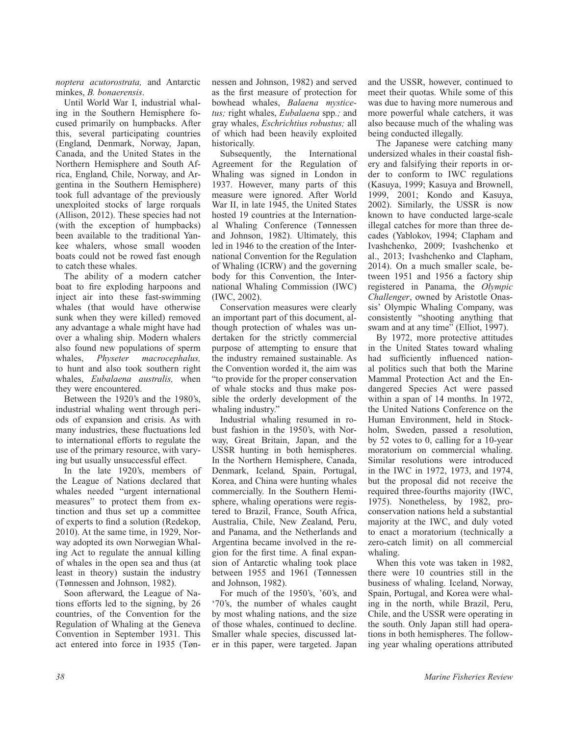*noptera acutorostrata,* and Antarctic minkes, *B. bonaerensis*.

Until World War I, industrial whaling in the Southern Hemisphere focused primarily on humpbacks. After this, several participating countries (England, Denmark, Norway, Japan, Canada, and the United States in the Northern Hemisphere and South Africa, England, Chile, Norway, and Argentina in the Southern Hemisphere) took full advantage of the previously unexploited stocks of large rorquals (Allison, 2012). These species had not (with the exception of humpbacks) been available to the traditional Yankee whalers, whose small wooden boats could not be rowed fast enough to catch these whales.

The ability of a modern catcher boat to fire exploding harpoons and inject air into these fast-swimming whales (that would have otherwise sunk when they were killed) removed any advantage a whale might have had over a whaling ship. Modern whalers also found new populations of sperm whales, *Physeter macrocephalus,* to hunt and also took southern right whales, *Eubalaena australis,* when they were encountered.

Between the 1920's and the 1980's, industrial whaling went through periods of expansion and crisis. As with many industries, these fluctuations led to international efforts to regulate the use of the primary resource, with varying but usually unsuccessful effect.

In the late 1920's, members of the League of Nations declared that whales needed "urgent international measures" to protect them from extinction and thus set up a committee of experts to find a solution (Redekop, 2010). At the same time, in 1929, Norway adopted its own Norwegian Whaling Act to regulate the annual killing of whales in the open sea and thus (at least in theory) sustain the industry (Tønnessen and Johnson, 1982).

Soon afterward, the League of Nations efforts led to the signing, by 26 countries, of the Convention for the Regulation of Whaling at the Geneva Convention in September 1931. This act entered into force in 1935 (Tønnessen and Johnson, 1982) and served as the first measure of protection for bowhead whales, *Balaena mysticetus;* right whales, *Eubalaena* spp*.;* and gray whales, *Eschrichtius robustus;* all of which had been heavily exploited historically.

Subsequently, the International Agreement for the Regulation of Whaling was signed in London in 1937. However, many parts of this measure were ignored. After World War II, in late 1945, the United States hosted 19 countries at the International Whaling Conference (Tønnessen and Johnson, 1982). Ultimately, this led in 1946 to the creation of the International Convention for the Regulation of Whaling (ICRW) and the governing body for this Convention, the International Whaling Commission (IWC) (IWC, 2002).

Conservation measures were clearly an important part of this document, although protection of whales was undertaken for the strictly commercial purpose of attempting to ensure that the industry remained sustainable. As the Convention worded it, the aim was "to provide for the proper conservation of whale stocks and thus make possible the orderly development of the whaling industry."

Industrial whaling resumed in robust fashion in the 1950's, with Norway, Great Britain, Japan, and the USSR hunting in both hemispheres. In the Northern Hemisphere, Canada, Denmark, Iceland, Spain, Portugal, Korea, and China were hunting whales commercially. In the Southern Hemisphere, whaling operations were registered to Brazil, France, South Africa, Australia, Chile, New Zealand, Peru, and Panama, and the Netherlands and Argentina became involved in the region for the first time. A final expansion of Antarctic whaling took place between 1955 and 1961 (Tønnessen and Johnson, 1982).

For much of the 1950's, '60's, and '70's, the number of whales caught by most whaling nations, and the size of those whales, continued to decline. Smaller whale species, discussed later in this paper, were targeted. Japan

and the USSR, however, continued to meet their quotas. While some of this was due to having more numerous and more powerful whale catchers, it was also because much of the whaling was being conducted illegally.

The Japanese were catching many undersized whales in their coastal fishery and falsifying their reports in order to conform to IWC regulations (Kasuya, 1999; Kasuya and Brownell, 1999, 2001; Kondo and Kasuya, 2002). Similarly, the USSR is now known to have conducted large-scale illegal catches for more than three decades (Yablokov, 1994; Clapham and Ivashchenko, 2009; Ivashchenko et al., 2013; Ivashchenko and Clapham, 2014). On a much smaller scale, between 1951 and 1956 a factory ship registered in Panama, the *Olympic Challenger*, owned by Aristotle Onassis' Olympic Whaling Company, was consistently "shooting anything that swam and at any time" (Elliot, 1997).

By 1972, more protective attitudes in the United States toward whaling had sufficiently influenced national politics such that both the Marine Mammal Protection Act and the Endangered Species Act were passed within a span of 14 months. In 1972, the United Nations Conference on the Human Environment, held in Stockholm, Sweden, passed a resolution, by 52 votes to 0, calling for a 10-year moratorium on commercial whaling. Similar resolutions were introduced in the IWC in 1972, 1973, and 1974, but the proposal did not receive the required three-fourths majority (IWC, 1975). Nonetheless, by 1982, proconservation nations held a substantial majority at the IWC, and duly voted to enact a moratorium (technically a zero-catch limit) on all commercial whaling.

When this vote was taken in 1982, there were 10 countries still in the business of whaling. Iceland, Norway, Spain, Portugal, and Korea were whaling in the north, while Brazil, Peru, Chile, and the USSR were operating in the south. Only Japan still had operations in both hemispheres. The following year whaling operations attributed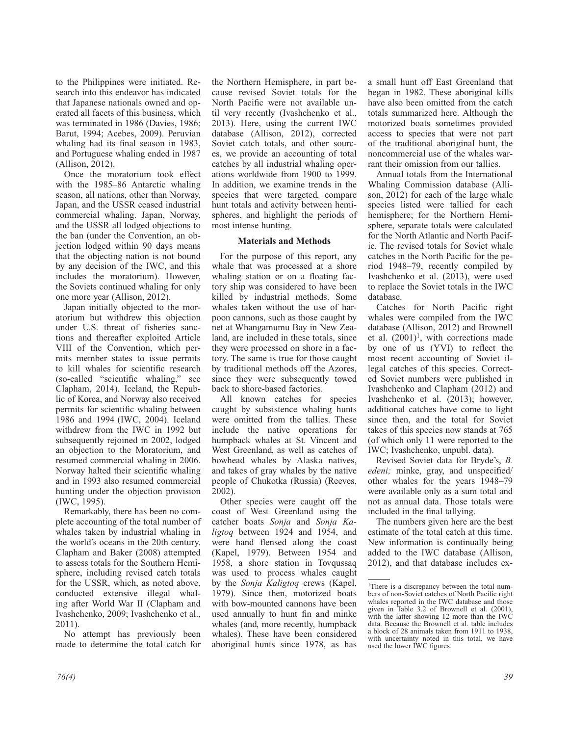to the Philippines were initiated. Research into this endeavor has indicated that Japanese nationals owned and operated all facets of this business, which was terminated in 1986 (Davies, 1986; Barut, 1994; Acebes, 2009). Peruvian whaling had its final season in 1983, and Portuguese whaling ended in 1987 (Allison, 2012).

Once the moratorium took effect with the 1985–86 Antarctic whaling season, all nations, other than Norway, Japan, and the USSR ceased industrial commercial whaling. Japan, Norway, and the USSR all lodged objections to the ban (under the Convention, an objection lodged within 90 days means that the objecting nation is not bound by any decision of the IWC, and this includes the moratorium). However, the Soviets continued whaling for only one more year (Allison, 2012).

Japan initially objected to the moratorium but withdrew this objection under U.S. threat of fisheries sanctions and thereafter exploited Article VIII of the Convention, which permits member states to issue permits to kill whales for scientific research (so-called "scientific whaling," see Clapham, 2014). Iceland, the Republic of Korea, and Norway also received permits for scientific whaling between 1986 and 1994 (IWC, 2004). Iceland withdrew from the IWC in 1992 but subsequently rejoined in 2002, lodged an objection to the Moratorium, and resumed commercial whaling in 2006. Norway halted their scientific whaling and in 1993 also resumed commercial hunting under the objection provision (IWC, 1995).

Remarkably, there has been no complete accounting of the total number of whales taken by industrial whaling in the world's oceans in the 20th century. Clapham and Baker (2008) attempted to assess totals for the Southern Hemisphere, including revised catch totals for the USSR, which, as noted above, conducted extensive illegal whaling after World War II (Clapham and Ivashchenko, 2009; Ivashchenko et al., 2011).

No attempt has previously been made to determine the total catch for

the Northern Hemisphere, in part because revised Soviet totals for the North Pacific were not available until very recently (Ivashchenko et al., 2013). Here, using the current IWC database (Allison, 2012), corrected Soviet catch totals, and other sources, we provide an accounting of total catches by all industrial whaling operations worldwide from 1900 to 1999. In addition, we examine trends in the species that were targeted, compare hunt totals and activity between hemispheres, and highlight the periods of most intense hunting.

### **Materials and Methods**

For the purpose of this report, any whale that was processed at a shore whaling station or on a floating factory ship was considered to have been killed by industrial methods. Some whales taken without the use of harpoon cannons, such as those caught by net at Whangamumu Bay in New Zealand, are included in these totals, since they were processed on shore in a factory. The same is true for those caught by traditional methods off the Azores, since they were subsequently towed back to shore-based factories.

All known catches for species caught by subsistence whaling hunts were omitted from the tallies. These include the native operations for humpback whales at St. Vincent and West Greenland, as well as catches of bowhead whales by Alaska natives, and takes of gray whales by the native people of Chukotka (Russia) (Reeves, 2002).

Other species were caught off the coast of West Greenland using the catcher boats *Sonja* and *Sonja Kaligtoq* between 1924 and 1954, and were hand flensed along the coast (Kapel, 1979). Between 1954 and 1958, a shore station in Tovqussaq was used to process whales caught by the *Sonja Kaligtoq* crews (Kapel, 1979). Since then, motorized boats with bow-mounted cannons have been used annually to hunt fin and minke whales (and, more recently, humpback whales). These have been considered aboriginal hunts since 1978, as has

a small hunt off East Greenland that began in 1982. These aboriginal kills have also been omitted from the catch totals summarized here. Although the motorized boats sometimes provided access to species that were not part of the traditional aboriginal hunt, the noncommercial use of the whales warrant their omission from our tallies.

Annual totals from the International Whaling Commission database (Allison, 2012) for each of the large whale species listed were tallied for each hemisphere; for the Northern Hemisphere, separate totals were calculated for the North Atlantic and North Pacific. The revised totals for Soviet whale catches in the North Pacific for the period 1948–79, recently compiled by Ivashchenko et al. (2013), were used to replace the Soviet totals in the IWC database.

Catches for North Pacific right whales were compiled from the IWC database (Allison, 2012) and Brownell et al.  $(2001)^1$ , with corrections made by one of us (YVI) to reflect the most recent accounting of Soviet illegal catches of this species. Corrected Soviet numbers were published in Ivashchenko and Clapham (2012) and Ivashchenko et al. (2013); however, additional catches have come to light since then, and the total for Soviet takes of this species now stands at 765 (of which only 11 were reported to the IWC; Ivashchenko, unpubl. data).

Revised Soviet data for Bryde's, *B. edeni*; minke, gray, and unspecified/ other whales for the years 1948–79 were available only as a sum total and not as annual data. Those totals were included in the final tallying.

The numbers given here are the best estimate of the total catch at this time. New information is continually being added to the IWC database (Allison, 2012), and that database includes ex-

<sup>&</sup>lt;sup>1</sup>There is a discrepancy between the total numbers of non-Soviet catches of North Pacific right whales reported in the IWC database and those given in Table 3.2 of Brownell et al. (2001), with the latter showing 12 more than the IWC data. Because the Brownell et al. table includes a block of 28 animals taken from 1911 to 1938, with uncertainty noted in this total, we have used the lower IWC figures.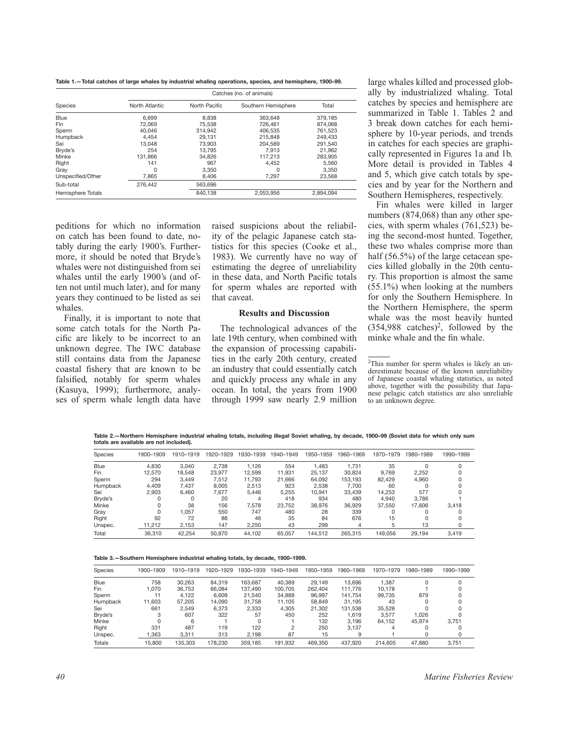**Table 1.—Total catches of large whales by industrial whaling operations, species, and hemisphere, 1900–99.**

|                   |                |               | Catches (no. of animals) |           |
|-------------------|----------------|---------------|--------------------------|-----------|
| Species           | North Atlantic | North Pacific | Southern Hemisphere      | Total     |
| Blue              | 6.699          | 8.838         | 363.648                  | 379.185   |
| Fin               | 72.069         | 75.538        | 726.461                  | 874.068   |
| Sperm             | 40.046         | 314.942       | 406.535                  | 761.523   |
| Humpback          | 4.454          | 29.131        | 215.848                  | 249.433   |
| Sei               | 13.048         | 73.903        | 204.589                  | 291.540   |
| Bryde's           | 254            | 13.795        | 7.913                    | 21.962    |
| Minke             | 131.866        | 34.826        | 117.213                  | 283.905   |
| Right             | 141            | 967           | 4.452                    | 5.560     |
| Gray              | 0              | 3.350         | 0                        | 3.350     |
| Unspecified/Other | 7.865          | 8.406         | 7.297                    | 23.568    |
| Sub-total         | 276,442        | 563.696       |                          |           |
| Hemisphere Totals |                | 840.138       | 2.053.956                | 2.894.094 |

peditions for which no information on catch has been found to date, notably during the early 1900's. Furthermore, it should be noted that Bryde's whales were not distinguished from sei whales until the early 1900's (and often not until much later), and for many years they continued to be listed as sei whales.

Finally, it is important to note that some catch totals for the North Pacific are likely to be incorrect to an unknown degree. The IWC database still contains data from the Japanese coastal fishery that are known to be falsified, notably for sperm whales (Kasuya, 1999); furthermore, analyses of sperm whale length data have

raised suspicions about the reliability of the pelagic Japanese catch statistics for this species (Cooke et al., 1983). We currently have no way of estimating the degree of unreliability in these data, and North Pacific totals for sperm whales are reported with that caveat.

### **Results and Discussion**

The technological advances of the late 19th century, when combined with the expansion of processing capabilities in the early 20th century, created an industry that could essentially catch and quickly process any whale in any ocean. In total, the years from 1900 through 1999 saw nearly 2.9 million

large whales killed and processed globally by industrialized whaling. Total catches by species and hemisphere are summarized in Table 1. Tables 2 and 3 break down catches for each hemisphere by 10-year periods, and trends in catches for each species are graphically represented in Figures 1a and 1b. More detail is provided in Tables 4 and 5, which give catch totals by species and by year for the Northern and Southern Hemispheres, respectively.

Fin whales were killed in larger numbers (874,068) than any other species, with sperm whales (761,523) being the second-most hunted. Together, these two whales comprise more than half (56.5%) of the large cetacean species killed globally in the 20th century. This proportion is almost the same (55.1%) when looking at the numbers for only the Southern Hemisphere. In the Northern Hemisphere, the sperm whale was the most heavily hunted  $(354,988 \text{ catches})^2$ , followed by the minke whale and the fin whale.

**Table 2.—Northern Hemisphere industrial whaling totals, including illegal Soviet whaling, by decade, 1900–99 (Soviet data for which only sum totals are available are not included).**

| <b>Species</b> | 1900-1909 | 1910-1919 | 1920-1929 | 1930-1939 | 1940-1949 | 1950-1959 | 1960-1969 | 1970-1979 | 1980-1989 | 1990-1999 |
|----------------|-----------|-----------|-----------|-----------|-----------|-----------|-----------|-----------|-----------|-----------|
| Blue           | 4.830     | 3.040     | 2.738     | 1.126     | 554       | 1.483     | 1.731     | 35        |           |           |
| Fin            | 12.570    | 18.548    | 23.977    | 12.599    | 11.931    | 25.137    | 30.824    | 9.769     | 2.252     |           |
| Sperm          | 294       | 3.449     | 7.512     | 11.793    | 21.666    | 64.092    | 153.193   | 82.429    | 4.960     |           |
| Humpback       | 4.409     | 7.437     | 8.005     | 2,513     | 923       | 2.538     | 7.700     | 60        |           |           |
| Sei            | 2.903     | 6.460     | 7.677     | 5.446     | 5.255     | 10.941    | 33.439    | 14.253    | 577       |           |
| Bryde's        | 0         |           | 20        | 4         | 418       | 934       | 480       | 4.940     | 3.786     |           |
| Minke          | $\Omega$  | 38        | 156       | 7.578     | 23,752    | 38,976    | 36,929    | 37.550    | 17.606    | 3.418     |
| Gray           | 0         | 1.057     | 550       | 747       | 480       | 28        | 339       |           |           |           |
| Right          | 92        | 72        | 88        | 46        | 35        | 84        | 676       | 15        |           |           |
| Unspec.        | 11.212    | 2.153     | 147       | 2.250     | 43        | 299       | 4         | 5         | 13        |           |
| Total          | 36.310    | 42.254    | 50,870    | 44.102    | 65.057    | 144.512   | 265.315   | 149.056   | 29.194    | 3.419     |

**Table 3.—Southern Hemisphere industrial whaling totals, by decade, 1900–1999.**

| Species  | 1900-1909 | 1910-1919 | 1920-1929 | 1930-1939 | 1940-1949 | 1950-1959 | 1960-1969 | 1970-1979 | 1980-1989 | 1990-1999 |
|----------|-----------|-----------|-----------|-----------|-----------|-----------|-----------|-----------|-----------|-----------|
| Blue     | 758       | 30.263    | 84.319    | 163.687   | 40.389    | 29.149    | 13.696    | 1.387     | 0         |           |
| Fin      | 1.070     | 36.753    | 66.084    | 137.490   | 100.705   | 262.404   | 111.776   | 10.178    |           |           |
| Sperm    |           | 4.122     | 6.609     | 21.540    | 34,888    | 96.997    | 141.754   | 99.735    | 879       |           |
| Humpback | 11.603    | 57.205    | 14.090    | 31.758    | 11.105    | 58.849    | 31.195    | 43        |           |           |
| Sei      | 661       | 2.549     | 6.373     | 2.333     | 4.305     | 21.302    | 131.538   | 35.528    |           |           |
| Bryde's  | 3         | 607       | 322       | 57        | 450       | 252       | 1.619     | 3.577     | 1.026     |           |
| Minke    |           | 6         |           | $\Omega$  |           | 132       | 3.196     | 64.152    | 45.974    | 3.751     |
| Right    | 331       | 487       | 119       | 122       | 2         | 250       | 3.137     | 4         |           |           |
| Unspec.  | 1.363     | 3.311     | 313       | 2.198     | 87        | 15        | 9         |           | 0         |           |
| Totals   | 15,800    | 135.303   | 178.230   | 359.185   | 191.932   | 469.350   | 437.920   | 214,605   | 47.880    | 3.751     |

<sup>2</sup>This number for sperm whales is likely an underestimate because of the known unreliability of Japanese coastal whaling statistics, as noted above, together with the possibility that Japanese pelagic catch statistics are also unreliable to an unknown degree.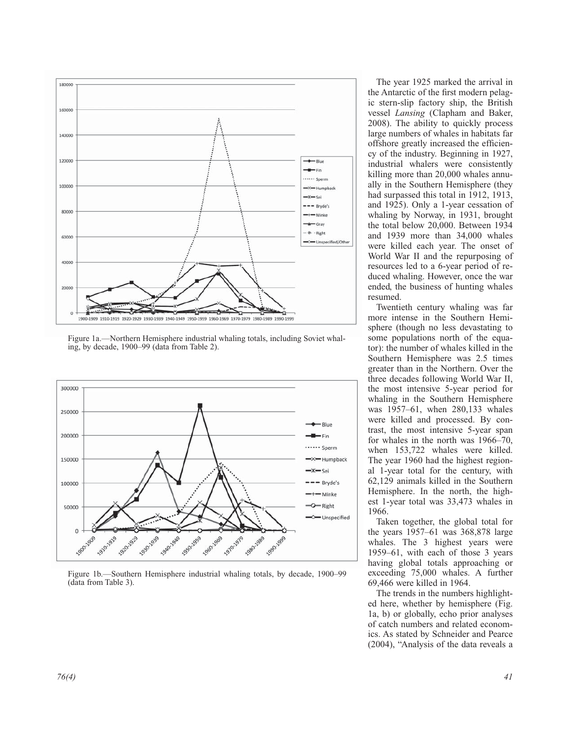

Figure 1a.—Northern Hemisphere industrial whaling totals, including Soviet whaling, by decade, 1900–99 (data from Table 2).



Figure 1b.—Southern Hemisphere industrial whaling totals, by decade, 1900–99 (data from Table 3).

The year 1925 marked the arrival in the Antarctic of the first modern pelagic stern-slip factory ship, the British vessel *Lansing* (Clapham and Baker, 2008). The ability to quickly process large numbers of whales in habitats far offshore greatly increased the efficiency of the industry. Beginning in 1927, industrial whalers were consistently killing more than 20,000 whales annually in the Southern Hemisphere (they had surpassed this total in 1912, 1913, and 1925). Only a 1-year cessation of whaling by Norway, in 1931, brought the total below 20,000. Between 1934 and 1939 more than 34,000 whales were killed each year. The onset of World War II and the repurposing of resources led to a 6-year period of reduced whaling. However, once the war ended, the business of hunting whales resumed.

Twentieth century whaling was far more intense in the Southern Hemisphere (though no less devastating to some populations north of the equator): the number of whales killed in the Southern Hemisphere was 2.5 times greater than in the Northern. Over the three decades following World War II, the most intensive 5-year period for whaling in the Southern Hemisphere was 1957–61, when 280,133 whales were killed and processed. By contrast, the most intensive 5-year span for whales in the north was 1966–70, when 153,722 whales were killed. The year 1960 had the highest regional 1-year total for the century, with 62,129 animals killed in the Southern Hemisphere. In the north, the highest 1-year total was 33,473 whales in 1966.

Taken together, the global total for the years 1957–61 was 368,878 large whales. The 3 highest years were 1959–61, with each of those 3 years having global totals approaching or exceeding 75,000 whales. A further 69,466 were killed in 1964.

The trends in the numbers highlighted here, whether by hemisphere (Fig. 1a, b) or globally, echo prior analyses of catch numbers and related economics. As stated by Schneider and Pearce (2004), "Analysis of the data reveals a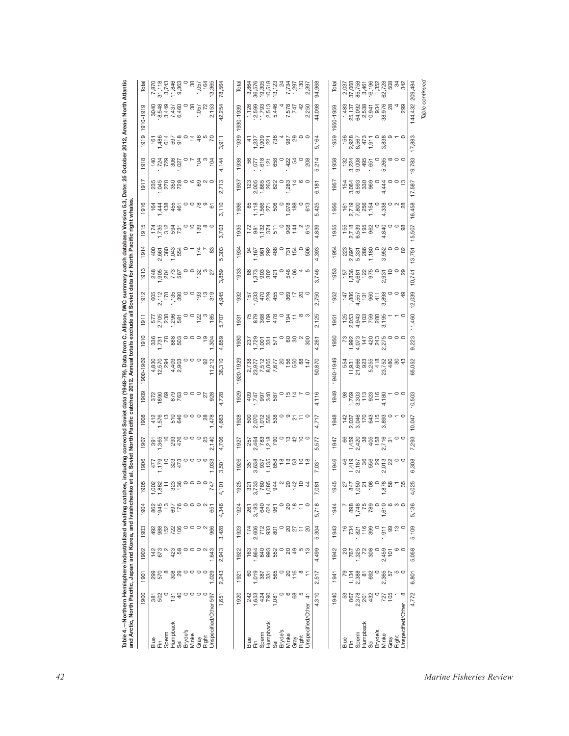|           | $\mathop{\stackrel{\mathsf{g}}{=}}\limits^{\mathsf{g}}\mathop{\stackrel{\mathsf{g}}{=}}\limits$ |                   | Sperm | Humpback<br>Sei<br>Bryde's                                      |         | Minke                                                                                             | Gray            | Unspecified/Other 597<br>Right                            |           |           | Blue<br>臣                                                                                                                                                                                                                                                                                                     | Sperm<br>Humpback                                                                                  | Sei              | Bryde's<br>Minke            | Gray           | Unspecified/Other<br>Right                                                               |           |           | $\frac{9}{10} \times 10^{10}$                                                                                                                                                                                                                                                                                                                                | Sperm              | Humpback<br>Sei                                                                                                                                                                                                                                                                | Bryde's               | Minke<br>Gray          | Unspecified/Other<br>Right                                                                                                                 |          |
|-----------|-------------------------------------------------------------------------------------------------|-------------------|-------|-----------------------------------------------------------------|---------|---------------------------------------------------------------------------------------------------|-----------------|-----------------------------------------------------------|-----------|-----------|---------------------------------------------------------------------------------------------------------------------------------------------------------------------------------------------------------------------------------------------------------------------------------------------------------------|----------------------------------------------------------------------------------------------------|------------------|-----------------------------|----------------|------------------------------------------------------------------------------------------|-----------|-----------|--------------------------------------------------------------------------------------------------------------------------------------------------------------------------------------------------------------------------------------------------------------------------------------------------------------------------------------------------------------|--------------------|--------------------------------------------------------------------------------------------------------------------------------------------------------------------------------------------------------------------------------------------------------------------------------|-----------------------|------------------------|--------------------------------------------------------------------------------------------------------------------------------------------|----------|
| 1900      |                                                                                                 | $\frac{50}{25}$   |       |                                                                 |         | $\frac{1}{2}$ $\frac{1}{2}$ $\frac{1}{2}$ $\frac{1}{2}$ $\frac{1}{2}$ $\frac{1}{2}$ $\frac{1}{2}$ |                 |                                                           | 1,651     | 1920      | $\begin{array}{c} 74.8 \\ 74.8 \\ 10.9 \\ 10.8 \\ 10.8 \\ 10.8 \\ 10.8 \\ 10.8 \\ 10.8 \\ 10.8 \\ 10.8 \\ 10.8 \\ 10.8 \\ 10.8 \\ 10.8 \\ 10.8 \\ 10.8 \\ 10.8 \\ 10.8 \\ 10.8 \\ 10.8 \\ 10.8 \\ 10.8 \\ 10.8 \\ 10.8 \\ 10.8 \\ 10.8 \\ 10.8 \\ 10.8 \\ 10.8 \\ 10.8 \\ 10.8 \\ 10.8 \\ 10.8 \\ 10.8 \\ 10$ |                                                                                                    |                  | $\mathbf{\circ}$<br>$\circ$ | 68             | $\frac{4}{5}$                                                                            | 4,310     | 1940      | 102<br>2028<br>203                                                                                                                                                                                                                                                                                                                                           | $\alpha$           |                                                                                                                                                                                                                                                                                | 432                   | 727<br>105             | $\infty$                                                                                                                                   | 4,772    |
| 1901      |                                                                                                 |                   |       |                                                                 |         |                                                                                                   |                 |                                                           | 2,243     | 1921      | 8                                                                                                                                                                                                                                                                                                             |                                                                                                    |                  |                             |                |                                                                                          | 2,517     | 1941      | $73480$<br>$7380$<br>$7380$<br>$7380$                                                                                                                                                                                                                                                                                                                        |                    | 692                                                                                                                                                                                                                                                                            | $\circ$               | ,365<br>57<br>$\alpha$ | 10 O                                                                                                                                       | 6,801    |
| 1902      |                                                                                                 |                   |       |                                                                 |         |                                                                                                   |                 |                                                           | 2,943     | 1922      |                                                                                                                                                                                                                                                                                                               |                                                                                                    |                  |                             |                | 8 \$ 10 \$                                                                               | 4,499     | 1942      | 1,325<br>1,325<br>1,325                                                                                                                                                                                                                                                                                                                                      |                    | 308                                                                                                                                                                                                                                                                            | $\circ$               | 2,459<br>101           | ဖ<br>$\circ$                                                                                                                               | 5,058    |
| 1903      |                                                                                                 |                   |       | 888220                                                          |         |                                                                                                   |                 |                                                           | 3,428     | 1923      | $\alpha$                                                                                                                                                                                                                                                                                                      |                                                                                                    |                  | $\circ$                     |                | $2272$                                                                                   | 5,304     | 1943      |                                                                                                                                                                                                                                                                                                                                                              |                    | $734$<br>$7821$<br>$792$<br>$799$<br>$799$                                                                                                                                                                                                                                     | $\circ$               | 8<br>1,911             | $\frac{1}{6}$                                                                                                                              | 5,109    |
| 1904      |                                                                                                 | 862<br>1945<br>13 |       |                                                                 |         |                                                                                                   |                 |                                                           | 4,346     | 1924      | $\frac{1}{8}$ $\frac{1}{8}$ $\frac{1}{8}$ $\frac{1}{8}$ $\frac{1}{8}$ $\frac{1}{8}$ $\frac{1}{8}$ $\frac{1}{8}$ $\frac{1}{8}$ $\frac{1}{8}$                                                                                                                                                                   |                                                                                                    |                  | $\circ$<br>20               |                | $\frac{1}{2}$ $\frac{1}{2}$ $\frac{1}{2}$                                                | 5,718     | 1944      |                                                                                                                                                                                                                                                                                                                                                              | 898<br>1,748<br>75 | 789                                                                                                                                                                                                                                                                            | 1,610                 |                        | $\circ$ $\circ$ $\circ$                                                                                                                    | 5,136    |
| 905       | 002<br>882<br>$ -$                                                                              |                   | Ξ     | 323<br>136                                                      |         |                                                                                                   |                 | 770000                                                    | 101<br>4  | 925<br>۳  | ო                                                                                                                                                                                                                                                                                                             |                                                                                                    |                  |                             |                | $35.5884$ $9.4554$<br>$29.884$ $9.4554$                                                  | 081<br>N, | 1945      |                                                                                                                                                                                                                                                                                                                                                              |                    |                                                                                                                                                                                                                                                                                |                       |                        | . 95<br>$\overline{\phantom{m}}$                                                                                                           | 025<br>4 |
| 1906      |                                                                                                 | $1,179$<br>1.179  |       |                                                                 |         |                                                                                                   |                 | $^{20}_{22}$ $^{41}_{22}$ 000 $^{60}_{22}$                | 3,501     | 1926      |                                                                                                                                                                                                                                                                                                               |                                                                                                    |                  |                             |                |                                                                                          | 7,031     | 1946      | $\begin{array}{c} 46 \\ 419 \\ 741 \\ -210 \\ 69 \\ -141 \\ 69 \\ -210 \\ 69 \\ -210 \\ 69 \\ -210 \\ 69 \\ -210 \\ 69 \\ -210 \\ 69 \\ -210 \\ 69 \\ -210 \\ 69 \\ -210 \\ 69 \\ -210 \\ 69 \\ -210 \\ 69 \\ -210 \\ 69 \\ -210 \\ 69 \\ -210 \\ 69 \\ -210 \\ 69 \\ -210 \\ 69 \\ -210 \\ 69 \\ -210 \\ 69 \\ -210 \\ 69 \\ -210 \\ 69 \\ -210 \\ 69 \\ -$ |                    |                                                                                                                                                                                                                                                                                |                       | 22                     | $\circ$                                                                                                                                    | 6,308    |
| 1907      |                                                                                                 | 395<br>165<br>16  |       |                                                                 |         |                                                                                                   |                 | 2,140                                                     | 4,706     | 1927      |                                                                                                                                                                                                                                                                                                               |                                                                                                    |                  |                             |                | <i>84886005450</i><br>24886005450                                                        | 577<br>ιó | 1947      |                                                                                                                                                                                                                                                                                                                                                              |                    |                                                                                                                                                                                                                                                                                |                       | 5                      | $\circ$                                                                                                                                    | 7,293    |
| 1908      |                                                                                                 |                   |       |                                                                 |         |                                                                                                   |                 | $7.5780000087777777778$                                   | 4,663     | 1928      |                                                                                                                                                                                                                                                                                                               |                                                                                                    |                  |                             |                |                                                                                          | 4,717     | 1948      | $\begin{array}{c} 142 \\ 2,037 \\ 3,046 \\ 170 \end{array}$                                                                                                                                                                                                                                                                                                  |                    |                                                                                                                                                                                                                                                                                | $643$<br>$1583$       | $\circ$                | $\circ$                                                                                                                                    | 10,047   |
| 1909      |                                                                                                 |                   |       |                                                                 |         |                                                                                                   |                 |                                                           | 4,728     | 1929      |                                                                                                                                                                                                                                                                                                               |                                                                                                    |                  |                             |                |                                                                                          | 4,116     | 1949      | $\begin{array}{r} 98 \\ 7500 \\ 7500 \\ 3011 \\ -190 \\ -190 \\ -190 \\ +180 \\ +180 \\ \end{array}$                                                                                                                                                                                                                                                         |                    |                                                                                                                                                                                                                                                                                |                       |                        | $\circ$ $\circ$                                                                                                                            | 10,503   |
| 1900-1909 |                                                                                                 |                   |       | 4 52 4 50<br>4 50 50<br>4 50 50 50<br>4 50 50                   |         |                                                                                                   |                 | $000887$<br>$7.212$                                       | 36,310    | 1920-1929 |                                                                                                                                                                                                                                                                                                               |                                                                                                    |                  |                             |                | 2,738<br>23,512<br>23,512<br>2,672<br>2,672<br>2,682<br>2,738<br>2,738<br>2,738<br>2,738 | 50,870    | 1940-1949 | 554<br>11,931<br>21,666                                                                                                                                                                                                                                                                                                                                      |                    |                                                                                                                                                                                                                                                                                |                       |                        | $523$<br>$547$<br>$537$<br>$549$<br>$549$<br>$549$<br>$549$<br>$549$<br>$549$                                                              | 65,052   |
| 1910      |                                                                                                 |                   |       | $\begin{array}{c} 336 \\ 7,731 \\ 888 \\ 803 \end{array}$       |         | $\circ$ $\circ$ $\circ$ $\circ$                                                                   |                 | ,304                                                      | 4,859     | 1930      | $77.28$<br>$77.29$<br>$77.29$<br>$76.5$<br>$76.7$                                                                                                                                                                                                                                                             |                                                                                                    |                  |                             |                | ៰ៜៜ៷ៜ                                                                                    | 4,261     | 1950      | 73                                                                                                                                                                                                                                                                                                                                                           |                    | $\begin{array}{cccc}\n 1.4 & 0.00 & 0.00 & 0.00 & 0.00 & 0.00 & 0.00 & 0.00 & 0.00 & 0.00 & 0.00 & 0.00 & 0.00 & 0.00 & 0.00 & 0.00 & 0.00 & 0.00 & 0.00 & 0.00 & 0.00 & 0.00 & 0.00 & 0.00 & 0.00 & 0.00 & 0.00 & 0.00 & 0.00 & 0.00 & 0.00 & 0.00 & 0.00 & 0.00 & 0.00 & 0.$ |                       |                        |                                                                                                                                            | 9,223    |
| 1911      |                                                                                                 |                   |       | 577<br>2,705<br>2,386<br>1,296<br>551                           |         |                                                                                                   |                 | 0 0 N 0 18<br>0 0 N 0 18<br>1                             | 5,707     | 1931      |                                                                                                                                                                                                                                                                                                               |                                                                                                    |                  |                             |                | 5880000000000000000                                                                      | 2,125     | 195       |                                                                                                                                                                                                                                                                                                                                                              |                    |                                                                                                                                                                                                                                                                                |                       |                        | $\circ \circ \circ$                                                                                                                        | 11,460   |
| 1912      |                                                                                                 |                   |       | $2,178$<br>$2,178$<br>$1,785$<br>$1,785$<br>$1,780$             |         |                                                                                                   |                 | $\circ$ $\circ$ $\frac{3}{2}$ $\frac{5}{2}$ $\frac{5}{2}$ | ,945<br>4 | 1932      |                                                                                                                                                                                                                                                                                                               |                                                                                                    |                  |                             |                |                                                                                          | 2,750     | 1952      | $\begin{array}{r} 147 \\ 1,886 \\ 4,557 \\ 131 \\ 66 \\ 141 \\ 69 \\ 411 \\ 69 \\ 3,89 \\ \end{array}$                                                                                                                                                                                                                                                       |                    |                                                                                                                                                                                                                                                                                |                       |                        | $\circ$ $\frac{9}{4}$<br>$\circ$                                                                                                           | 12,039   |
| 1913      |                                                                                                 |                   |       | 280278<br>2021<br>2022                                          |         |                                                                                                   |                 | $\frac{1}{2}$                                             | 3,859     | 1933      |                                                                                                                                                                                                                                                                                                               |                                                                                                    |                  | $-0.46$                     |                |                                                                                          | 3,746     | 1953      | $\begin{array}{r} 157 \\ 1.836 \\ 4.681 \\ 975 \\ 0 \\ 0 \\ \end{array}$                                                                                                                                                                                                                                                                                     |                    |                                                                                                                                                                                                                                                                                |                       | 2,931<br>$\circ$       | 500                                                                                                                                        | 10,741   |
| 1914      |                                                                                                 |                   |       | $2,867$ $2,867$ $567$ $567$ $567$                               | $\circ$ |                                                                                                   | 174             | 8                                                         | 5,303     | 1934      | $1,167$<br>$167$<br>$961$                                                                                                                                                                                                                                                                                     |                                                                                                    | $288$ $54$ $75$  |                             |                | $\circ$<br>506<br>4 ro                                                                   | 4,393     | 1954      | $\begin{array}{r} 223 \\ 265 \\ 2.69 \\ 5.33 \\ 6.69 \\ 7.7 \\ \end{array}$                                                                                                                                                                                                                                                                                  |                    |                                                                                                                                                                                                                                                                                | 0<br>3,952            |                        | $\circ$ $\circ$ $\frac{8}{8}$                                                                                                              | 13,751   |
| 1915      |                                                                                                 |                   |       | $\begin{array}{c} 1.735 \\ 1.735 \\ 0.834 \\ 0.074 \end{array}$ |         |                                                                                                   |                 | ဝ <u>၁ ဗ</u> ွ ∞ ဝ                                        | 3,703     | 1935      | 172                                                                                                                                                                                                                                                                                                           | $\frac{1}{2}$<br>$\frac{1}{2}$<br>$\frac{1}{2}$<br>$\frac{1}{2}$<br>$\frac{1}{2}$<br>$\frac{1}{2}$ |                  | 908                         |                | $\begin{array}{c}\n14 \\ 4 \\ 0 \\ 0\n\end{array}$                                       | 4,839     | 1955      | 155<br>2,718<br>6,539<br>195                                                                                                                                                                                                                                                                                                                                 |                    | 962                                                                                                                                                                                                                                                                            |                       | 4,840                  | $\circ$ $\circ$ $\frac{8}{9}$                                                                                                              | 15,507   |
| 1916      |                                                                                                 |                   |       | $\frac{1}{64}$ 4 4 4 4 4 4 4 4 5 5 1                            |         | ၀၀စ္ပ္ ၈                                                                                          |                 | 5                                                         | 3,110     | 1936      | 85<br>1186<br>1156<br>1156<br>50                                                                                                                                                                                                                                                                              |                                                                                                    | $\circ$          |                             | 1,078<br>188   | $\frac{0}{6}$                                                                            | 5,425     | 1956      | $\frac{161}{2}$                                                                                                                                                                                                                                                                                                                                              |                    | 2,719<br>7,800<br>7,856<br>1,154                                                                                                                                                                                                                                               | 4,338<br>$\circ$      |                        | $0$ $\alpha$ $\alpha$                                                                                                                      | 16,458   |
| 1917      |                                                                                                 |                   |       |                                                                 |         |                                                                                                   |                 |                                                           | 2,713     | 1937      |                                                                                                                                                                                                                                                                                                               |                                                                                                    |                  | 1,283                       | $\overline{4}$ |                                                                                          | 6,181     | 1957      |                                                                                                                                                                                                                                                                                                                                                              |                    |                                                                                                                                                                                                                                                                                |                       | 4,444                  | $\circ$ $\frac{3}{2}$                                                                                                                      | 17,587   |
| 1918      |                                                                                                 |                   |       | $1,724$<br>$7,789$<br>$7,890$<br>$140$<br>$7,890$<br>$0,027$    |         |                                                                                                   | $\frac{1}{9}$ a | 104                                                       | 4,144     | 1938      | 56<br>1,078<br>1,618<br>1,080<br>658                                                                                                                                                                                                                                                                          |                                                                                                    |                  |                             | 1,422<br>54    | $\circ$<br>208<br>$\circ$ $\circ$                                                        | 5,214     | 1958      | $\begin{array}{r} 132 \\ 224 \\ 3.008 \\ 9.08 \\ \end{array}$                                                                                                                                                                                                                                                                                                |                    | 1,651                                                                                                                                                                                                                                                                          | 0<br>5,265<br>$\circ$ | $\circ$                |                                                                                                                                            | 19,783   |
| 1919      |                                                                                                 |                   |       |                                                                 | $\circ$ |                                                                                                   |                 | 58788074902                                               | 3,911     | 1939      |                                                                                                                                                                                                                                                                                                               |                                                                                                    |                  |                             |                |                                                                                          | 5,164     | 1959      | $7.568\n7.567\n8.677\n9.73\n1.911$                                                                                                                                                                                                                                                                                                                           |                    |                                                                                                                                                                                                                                                                                |                       |                        | $\begin{array}{c} 0 \underset{\alpha_0}{\otimes} 0 \leftarrow 0 \\ \underset{\alpha_1}{\otimes} 0 \end{array}$<br>$\infty$ $\circ$ $\circ$ | 17,883   |
| 1910-1919 |                                                                                                 |                   |       | 99899<br>99899<br>99899<br>9989                                 |         | $^{22}$<br>$^{1057}$                                                                              |                 | 2,153                                                     | 42,254    | 1930-1939 | $1,126$<br>$7,599$<br>$7,593$<br>$7,513$<br>$6,446$<br>$5,446$                                                                                                                                                                                                                                                |                                                                                                    |                  |                             | 7,578<br>747   | $42$<br>$2,50$<br>$2,50$                                                                 | 44,098    | 1950-1959 | $\begin{array}{r} 1,483 \\ -1,137 \\ 25,138 \\ 64,098 \\ 64,094 \\ 10,941 \\ 930 \\ 930 \\ 930 \end{array}$                                                                                                                                                                                                                                                  |                    |                                                                                                                                                                                                                                                                                |                       |                        | 299                                                                                                                                        | 144,432  |
| Total     |                                                                                                 |                   |       | 7,870<br>31,118<br>5,743<br>11,846<br>9,363                     | $\circ$ | $^{1,057}_{1,057}$                                                                                |                 | 13,365                                                    | 78,564    | Total     |                                                                                                                                                                                                                                                                                                               |                                                                                                    | $\boldsymbol{4}$ |                             |                |                                                                                          | 94,968    | Total     |                                                                                                                                                                                                                                                                                                                                                              |                    |                                                                                                                                                                                                                                                                                |                       | 8                      | 037<br>08885 1952 888<br>05758 1952 888<br>0576 1953 898<br>4                                                                              | 209,484  |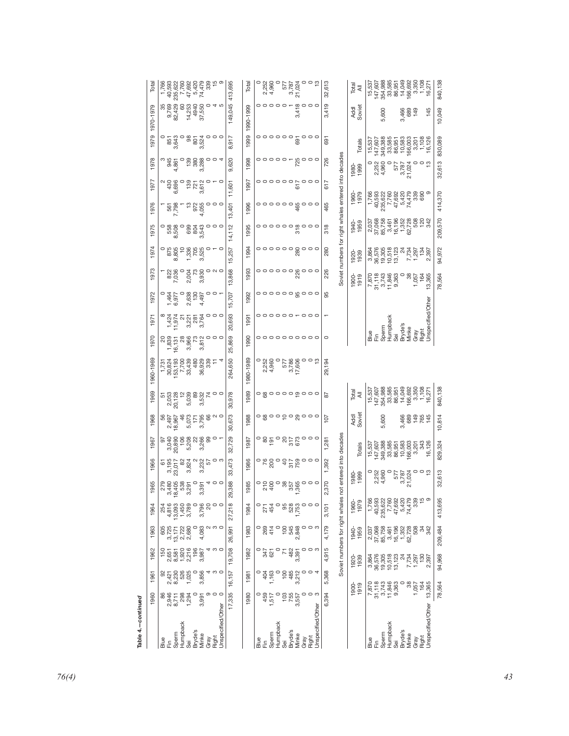| 1970-1979<br>1979<br>$\infty$<br>197 | 0        | <sub>ന</sub><br>345<br>346<br>4                                                                                                                                                                                                                                                                               | $\circ$            | $7380$<br>$780$<br>$280$                     | 000<br>က<br>004<br>ო                                                                                                                                                                                                                                                                                                              |                            | $-917$<br>$\infty$<br>620<br>ၜ | 1990-1999<br>1999<br>1998 |                       |                                     |                        |                                               |                    | $00000 - 00000$                                                                                                                                                                                                                                                                                               | 691<br>726 |                                                      | Totals<br>1980-<br>1999 | $\begin{array}{c} 15,537 \\ 147,607 \\ 349,385 \\ 33,565 \\ 66,003 \\ 166,003 \\ 102,001 \\ 108 \\ 108 \\ 109 \\ 108 \\ 109 \\ 109 \\ 108 \\ 1126 \\ \end{array}$<br>$\circ$<br>2,252<br>4,960                                                                                                      |                   | $\begin{matrix}0\\577\\3.787\\21.024\end{matrix}$    | 0                   | $\circ$ $\frac{3}{2}$             | 10,049<br>830,089<br>613<br>32 |
|--------------------------------------|----------|---------------------------------------------------------------------------------------------------------------------------------------------------------------------------------------------------------------------------------------------------------------------------------------------------------------|--------------------|----------------------------------------------|-----------------------------------------------------------------------------------------------------------------------------------------------------------------------------------------------------------------------------------------------------------------------------------------------------------------------------------|----------------------------|--------------------------------|---------------------------|-----------------------|-------------------------------------|------------------------|-----------------------------------------------|--------------------|---------------------------------------------------------------------------------------------------------------------------------------------------------------------------------------------------------------------------------------------------------------------------------------------------------------|------------|------------------------------------------------------|-------------------------|-----------------------------------------------------------------------------------------------------------------------------------------------------------------------------------------------------------------------------------------------------------------------------------------------------|-------------------|------------------------------------------------------|---------------------|-----------------------------------|--------------------------------|
| 1977                                 |          | $^{2}$ $^{430}_{-496}$<br>Ö                                                                                                                                                                                                                                                                                   |                    |                                              | $-2870$<br>$\infty$                                                                                                                                                                                                                                                                                                               |                            | 11,601                         | 1997                      |                       |                                     |                        |                                               | 61                 | 0000000000                                                                                                                                                                                                                                                                                                    | 617        | Soviet numbers for right whales entered into decades | 1960-<br>1979           | $\begin{array}{l} 1,766 \\ 1,769 \\ 40,592 \\ 235,622 \\ 24,769 \\ 255,628 \\ 255,769 \\ 255,769 \\ 255,769 \\ 255,769 \\ 255,769 \\ 255,769 \\ 255,769 \\ 255,769 \\ 255,769 \\ 255,769 \\ 255,769 \\ 255,769 \\ 255,769 \\ 255,769 \\ 255,769 \\ 255,769 \\ 255,769 \\ 255,769 \\ 25$             |                   |                                                      |                     | တ                                 | 370                            |
| G<br>197                             |          | 561<br>7,798                                                                                                                                                                                                                                                                                                  |                    |                                              | $\frac{1}{2}$ $\frac{1}{2}$ $\frac{1}{2}$ $\frac{1}{2}$ $\frac{1}{2}$ $\frac{1}{2}$<br>4                                                                                                                                                                                                                                          |                            | ,401<br>$\frac{1}{2}$          | 1996                      |                       |                                     |                        |                                               |                    | $\begin{array}{c}\n0 & 0 & 0 & 0 & 0 & 0 \\ 0 & 0 & 0 & 0 & 0 \\ 0 & 0 & 0 & 0 & 0 \\ 0 & 0 & 0 & 0 & 0\n\end{array}$                                                                                                                                                                                         | 465        |                                                      |                         |                                                                                                                                                                                                                                                                                                     |                   |                                                      |                     |                                   | 414,<br>570                    |
| 5<br>197                             |          | 889<br>899<br>0<br>$\infty$                                                                                                                                                                                                                                                                                   | $\circ$            | 8843<br>884                                  | ო                                                                                                                                                                                                                                                                                                                                 | 000                        | 14,112                         | 1995                      |                       |                                     |                        |                                               | 5                  | 0000000000                                                                                                                                                                                                                                                                                                    | 318        |                                                      | 1940-<br>1959           | 037<br>06885 58888<br>05758888802<br>057588788                                                                                                                                                                                                                                                      |                   |                                                      |                     |                                   | 209,                           |
| 1974                                 |          | $-28.8$<br>$-28.8$<br>$\infty$                                                                                                                                                                                                                                                                                |                    | 1,336<br>705<br>3,525                        |                                                                                                                                                                                                                                                                                                                                   | $O - O$                    | ,257<br>$\frac{15}{2}$         | 1994                      |                       |                                     |                        |                                               |                    | $\frac{1}{\sqrt{N}}$                                                                                                                                                                                                                                                                                          | 280        |                                                      | 1920-<br>1939           | $\begin{array}{r} 3.864 \\ 36.576 \\ 36.505 \\ 12.01 \\ 12.02 \\ 12.03 \\ 12.03 \\ 12.03 \\ 12.03 \\ 12.03 \\ 12.03 \\ 12.03 \\ 12.03 \\ 12.03 \\ 12.03 \\ 12.03 \\ 12.03 \\ 12.03 \\ 12.03 \\ 12.03 \\ 12.03 \\ 12.03 \\ 12.03 \\ 12.03 \\ 12.03 \\ 12.03 \\ 12.03 \\ 12.03 \\ 12.03 \\ 12.03 \\ $ |                   |                                                      |                     |                                   | ,972<br>94,                    |
| 1973<br>$\sim$                       | $\circ$  | 822<br>036                                                                                                                                                                                                                                                                                                    | $\circ$<br>$\circ$ | $9.80$<br>$40.90$<br>$\overline{\mathsf{N}}$ | က<br>$O$ $O$ $\tau$                                                                                                                                                                                                                                                                                                               | $O$ $N$ $O$                | ,868<br>$\frac{1}{2}$          | 1993                      |                       |                                     |                        |                                               |                    |                                                                                                                                                                                                                                                                                                               | 226        |                                                      | $1900 - 1919$           | $\begin{array}{c} 7,870 \\ 31,118 \\ 31,743 \\ 11,846 \\ 11,846 \\ \end{array}$                                                                                                                                                                                                                     |                   | $\circ$                                              | 1,057<br>164        | 13,365                            | 78,564                         |
| 197                                  | $\infty$ | 464<br>977<br>۵Ó                                                                                                                                                                                                                                                                                              |                    | 1907<br>1907<br>1907<br>$\sim$               | $\overline{4}$                                                                                                                                                                                                                                                                                                                    | $\circ \circ \circ$        | 15,707                         | 1992                      |                       |                                     |                        |                                               |                    | 0000008000<br>$\circ\circ\circ\circ\circ\circ\circ\circ\circ$                                                                                                                                                                                                                                                 | 95<br>π    |                                                      |                         |                                                                                                                                                                                                                                                                                                     |                   |                                                      |                     |                                   |                                |
| 197                                  |          | $1,424$<br>11,974                                                                                                                                                                                                                                                                                             |                    | <u>ដូង ទ័</u><br>က                           | က                                                                                                                                                                                                                                                                                                                                 |                            | 20,693<br>,869                 | 1991                      |                       |                                     |                        |                                               |                    | 0000000000                                                                                                                                                                                                                                                                                                    | $\circ$    |                                                      |                         | $\frac{\mathrm{d}\mathbf{g}}{\mathrm{d}\mathbf{h}}\mathop{\mathsf{H}}\nolimits$                                                                                                                                                                                                                     | Humpback<br>Sperm | Bryde's<br>Sei                                       | Minke<br>Gray       | Unspecified/Othe<br>Right         |                                |
| 1970<br>1960-1969                    |          |                                                                                                                                                                                                                                                                                                               |                    |                                              | $\begin{array}{l} 7.731 \\ -7.734 \\ -8.024 \\ -8.031 \\ -1.734 \\ -1.734 \\ -1.734 \\ -1.734 \\ -1.734 \\ -1.734 \\ -1.734 \\ -1.734 \\ -1.734 \\ -1.734 \\ -1.734 \\ -1.734 \\ -1.734 \\ -1.734 \\ -1.734 \\ -1.734 \\ -1.734 \\ -1.734 \\ -1.734 \\ -1.734 \\ -1.734 \\ -1.734 \\ -1.734 \\ -1.734 \\ -1.734 \\ -1.734 \\ -1.$ | 4                          | 25,<br>,650<br>264,            | 1990<br>1980-1989         |                       | $\alpha$ 4                          |                        | 9879 - 988<br>9879 - 988<br>$\frac{1}{2}$     |                    | $\circ$ $\circ$ $\frac{1}{2}$                                                                                                                                                                                                                                                                                 | 29,194     |                                                      |                         |                                                                                                                                                                                                                                                                                                     |                   |                                                      |                     |                                   |                                |
| 1969                                 |          |                                                                                                                                                                                                                                                                                                               |                    |                                              |                                                                                                                                                                                                                                                                                                                                   |                            | 978                            | 1989                      |                       |                                     |                        |                                               |                    |                                                                                                                                                                                                                                                                                                               | 28         |                                                      | Total                   |                                                                                                                                                                                                                                                                                                     |                   |                                                      |                     |                                   | 840,138                        |
| 1968                                 |          | 1967<br>197<br>$\alpha$ $\alpha$                                                                                                                                                                                                                                                                              |                    |                                              | 46<br>5,073<br>5,795<br>3,795                                                                                                                                                                                                                                                                                                     | $\sim$ $\sim$              | $\overline{5}$<br>673<br>30,   | 1988                      |                       |                                     |                        |                                               |                    |                                                                                                                                                                                                                                                                                                               | 107        |                                                      | Addl<br>Soviet          |                                                                                                                                                                                                                                                                                                     | 600<br>ιó         | ന്                                                   |                     | $4689$<br>$789$<br>$769$<br>$745$ | ,814<br>ʻö.                    |
| 1967                                 |          | 97<br>3,040<br>20,890                                                                                                                                                                                                                                                                                         |                    | 5                                            | ខ្លួន ដូច ១ -<br>កំពុំ ដូច ១ -<br>က                                                                                                                                                                                                                                                                                               |                            | ,729<br>32                     | 1987                      |                       |                                     |                        |                                               |                    | $-85 - 822000$                                                                                                                                                                                                                                                                                                | 1,281      |                                                      | Totals                  | $\begin{array}{r} 15,537 \\ 147,607 \\ 349,388 \\ 363,585 \\ 66,003 \\ 10,583 \\ 10,003 \\ 10,003 \\ 343 \\ 134 \\ 16,126 \\ \end{array}$                                                                                                                                                           |                   |                                                      |                     |                                   | 829,324                        |
| 1966                                 |          | 61<br>3,195<br>23,017                                                                                                                                                                                                                                                                                         |                    | က                                            | <b>824 925</b><br>824 925<br>က                                                                                                                                                                                                                                                                                                    | ဝ က                        | 473<br>33                      | 1986                      |                       |                                     |                        |                                               |                    | $\circ$ $\frac{1}{6}$ $\frac{2}{6}$ $\frac{3}{6}$ $\frac{1}{6}$ $\frac{2}{6}$ $\frac{5}{6}$ $\frac{5}{6}$ $\frac{5}{6}$ $\frac{5}{6}$ $\frac{5}{6}$ $\frac{5}{6}$ $\frac{1}{6}$                                                                                                                               | 1,392      | entered into decades                                 |                         | 0<br>252<br>0<br>250                                                                                                                                                                                                                                                                                |                   | <b>FRO<br/>1821<br/>0<br/>0<br/>0<br/>0<br/>1762</b> |                     | 0 <sub>0</sub>                    | 613                            |
| 965                                  |          | 23582 25<br>23582 25<br>က် ထို                                                                                                                                                                                                                                                                                |                    | က                                            | 4<br>က                                                                                                                                                                                                                                                                                                                            | $\circ$                    | 388<br>29                      | 1985                      |                       |                                     |                        |                                               |                    | $\begin{array}{c} 0.536 \\ 0.54 \\ 0.56 \\ 0.57 \\ 0.57 \\ 0.58 \\ 0.59 \\ 0.59 \\ 0.50 \\ 0.50 \\ 0.50 \\ 0.50 \\ 0.50 \\ 0.50 \\ 0.50 \\ 0.50 \\ 0.50 \\ 0.50 \\ 0.50 \\ 0.50 \\ 0.50 \\ 0.50 \\ 0.50 \\ 0.50 \\ 0.50 \\ 0.50 \\ 0.50 \\ 0.50 \\ 0.50 \\ 0.50 \\ 0.50 \\ 0.50 \\ 0.50 \\ 0.50 \\ 0.50 \\ 0$ | 370<br>N   |                                                      | 1980-<br>1999           | $\alpha$                                                                                                                                                                                                                                                                                            | 4                 | က                                                    | Σ,                  |                                   | $\overline{32}$                |
| 196 <sup>2</sup>                     | 254      | 4,816<br>13,093                                                                                                                                                                                                                                                                                               | 1,450<br>3,789     | $\circ$                                      | 3,796                                                                                                                                                                                                                                                                                                                             | $\circ$                    | 27,218                         | 1984                      |                       | 454<br>271                          | $\circ$                | 95<br>528<br>1,753                            |                    | $\circ \circ \circ$                                                                                                                                                                                                                                                                                           | 3,101      | Soviet numbers for right whales not                  | 1960-<br>1979           | $\begin{array}{l} 1.7666\\ 1.76767\\ -1.766767\\ -1.766767\\ -1.766767\\ -1.766767\\ -1.766767\\ -1.766767\\ -1.766767\\ -1.766767\\ -1.766767\\ -1.766767\\ -1.766767\\ -1.766767\\ -1.766767\\ -1.766767\\ -1.766767\\ -1.766767\\ -1.766767\\ -1.766767\\ -1.766767\\ -1.766$                    |                   |                                                      |                     |                                   | 413,695                        |
| 1963                                 | 605      | $3,725$<br>$13,171$<br>$2,722$<br>$2,680$                                                                                                                                                                                                                                                                     |                    |                                              | $\begin{array}{c}\n0 & 0 & 0 \\ 0 & 0 & 0 \\ 0 & 0 & 0\n\end{array}$                                                                                                                                                                                                                                                              | 4 ω 0                      | 26,991                         | 1983                      | $\circ$               | 269<br>414<br>20                    |                        | 100<br>545<br>548                             | $\sim$<br>$\circ$  | $\circ$ $\circ$ $\circ$<br>ဝ က                                                                                                                                                                                                                                                                                | 4,179      |                                                      | 1940-<br>1959           | $\begin{array}{l} 2,037 \\ 37,068 \\ 85,758 \\ 85,759 \\ 95,759 \\ 195,728 \\ 60 \\ 7,728 \\ 80 \\ 942 \\ 942 \\ \end{array}$                                                                                                                                                                       |                   |                                                      |                     |                                   | 209,484                        |
| 1962                                 |          | $\begin{array}{r} 150 \\ 150 \\ 0.53 \\ 0.59 \\ 0.72 \\ 0.98 \\ 0.98 \\ 0.98 \\ 0.98 \\ 0.98 \\ 0.98 \\ 0.98 \\ 0.98 \\ 0.98 \\ 0.98 \\ 0.98 \\ 0.98 \\ 0.98 \\ 0.98 \\ 0.98 \\ 0.98 \\ 0.98 \\ 0.98 \\ 0.98 \\ 0.98 \\ 0.98 \\ 0.98 \\ 0.98 \\ 0.98 \\ 0.98 \\ 0.98 \\ 0.98 \\ 0.98 \\ 0.98 \\ 0.98 \\ 0.98$ |                    | $\circ$                                      |                                                                                                                                                                                                                                                                                                                                   | 4 ω 0                      | 19,708                         | 1982                      | $\circ$<br>$\circ$    | 347<br>621                          | $\circ$<br>$\circ$     | $71$<br>$482$<br>$95$                         | က<br>$\circ$       | $\circ$ 4                                                                                                                                                                                                                                                                                                     | 4,915      |                                                      | 1920-<br>1939           | 3,864<br>36,578<br>36,578,305<br>30,578,730,730<br>7,730,730,750                                                                                                                                                                                                                                    |                   |                                                      |                     | 2,397                             | 94,968                         |
| $196 -$                              |          | 92<br>04210<br>042100<br>043000                                                                                                                                                                                                                                                                               |                    | $\circ$                                      | 3,856                                                                                                                                                                                                                                                                                                                             | $\circ$ $\circ$            | 16,157                         | 1981                      |                       | 404<br>1,163                        |                        | $100$<br>$485$<br>$212$<br>103<br>755<br>7557 | က<br>$\circ$       | ဝ က                                                                                                                                                                                                                                                                                                           | 5,368      |                                                      | $1900 - 1919$           | 7,870<br>31,118<br>37,43<br>1,846<br>1,870<br>9,363                                                                                                                                                                                                                                                 |                   | $\circ$                                              | 1,057<br>164<br>164 | 13,365                            | 78,564                         |
| 1960<br>4.-continued<br>Table        |          | 86<br>0.945<br>0.758<br>0.84<br>0.794<br>Sperm<br>$\frac{9}{10} \times$                                                                                                                                                                                                                                       | Humpback           | Bryde's<br>Sei                               | 3,991<br>Minke<br>Gray                                                                                                                                                                                                                                                                                                            | Unspecified/Other<br>Right | 17,335                         | 1980                      | $\frac{9}{10} \times$ | $1,510$<br>$459$<br>$7,70$<br>Sperm | Humpback<br><b>Sei</b> | Bryde's                                       | က<br>Minke<br>Gray | Unspecified/Other<br>Right                                                                                                                                                                                                                                                                                    | 6,394      |                                                      |                         | Blue<br>匠                                                                                                                                                                                                                                                                                           | Humpback<br>Sperm | Bryde's<br>Sei                                       | Minke<br>Gray       | Jnspecified/Other<br>Right        |                                |

|  | i, |
|--|----|
|  | í  |
|  | I  |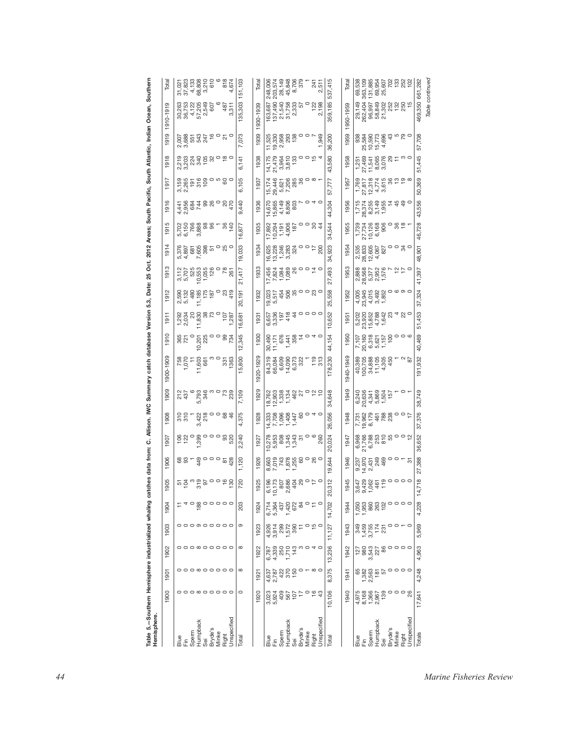| 1903<br>1902<br>1901<br>1900<br>Blue<br>Fin<br>Sperm<br>Humpback<br>Sei<br>Bryde's                                                                                                                                                                                                                                                                                               | 1904                                                             | 1905                                   | 1906                                    | 1907                                                                                                                                                                                                                                                                                                                                                                                                                                                                                                                                                                                                                                           | 1908                                     | 1909                                                     | 900-1909                                                                                                                                                                                                                                                                                            | 1910                                                       | 1911                                                                                                                                                                                                                                                                                                                                                            | 1912                                                    | ო<br>191                                                                                                                                                                                                                                                                                                      | 191                                                                                        | 1915                                                                                          | 1916                                                                                                                                                                                                                                                                                                | 1917                                                                                                                                                                                                                                                                                        | 1918                                                                                                 | 1919                                                                         |                                                                                                                                                                                                                                                                           |
|----------------------------------------------------------------------------------------------------------------------------------------------------------------------------------------------------------------------------------------------------------------------------------------------------------------------------------------------------------------------------------|------------------------------------------------------------------|----------------------------------------|-----------------------------------------|------------------------------------------------------------------------------------------------------------------------------------------------------------------------------------------------------------------------------------------------------------------------------------------------------------------------------------------------------------------------------------------------------------------------------------------------------------------------------------------------------------------------------------------------------------------------------------------------------------------------------------------------|------------------------------------------|----------------------------------------------------------|-----------------------------------------------------------------------------------------------------------------------------------------------------------------------------------------------------------------------------------------------------------------------------------------------------|------------------------------------------------------------|-----------------------------------------------------------------------------------------------------------------------------------------------------------------------------------------------------------------------------------------------------------------------------------------------------------------------------------------------------------------|---------------------------------------------------------|---------------------------------------------------------------------------------------------------------------------------------------------------------------------------------------------------------------------------------------------------------------------------------------------------------------|--------------------------------------------------------------------------------------------|-----------------------------------------------------------------------------------------------|-----------------------------------------------------------------------------------------------------------------------------------------------------------------------------------------------------------------------------------------------------------------------------------------------------|---------------------------------------------------------------------------------------------------------------------------------------------------------------------------------------------------------------------------------------------------------------------------------------------|------------------------------------------------------------------------------------------------------|------------------------------------------------------------------------------|---------------------------------------------------------------------------------------------------------------------------------------------------------------------------------------------------------------------------------------------------------------------------|
|                                                                                                                                                                                                                                                                                                                                                                                  |                                                                  |                                        |                                         |                                                                                                                                                                                                                                                                                                                                                                                                                                                                                                                                                                                                                                                |                                          |                                                          |                                                                                                                                                                                                                                                                                                     |                                                            |                                                                                                                                                                                                                                                                                                                                                                 |                                                         |                                                                                                                                                                                                                                                                                                               |                                                                                            |                                                                                               |                                                                                                                                                                                                                                                                                                     |                                                                                                                                                                                                                                                                                             |                                                                                                      |                                                                              | 1910-1919                                                                                                                                                                                                                                                                 |
|                                                                                                                                                                                                                                                                                                                                                                                  |                                                                  |                                        | 88                                      |                                                                                                                                                                                                                                                                                                                                                                                                                                                                                                                                                                                                                                                | $310$<br>$310$                           |                                                          | 15<br>070<br>11                                                                                                                                                                                                                                                                                     |                                                            |                                                                                                                                                                                                                                                                                                                                                                 | 2,590<br>5,132<br>5,132<br>175<br>175<br>187            |                                                                                                                                                                                                                                                                                                               | 5,376<br>6897<br>5,885<br>5,885<br>5,885                                                   |                                                                                               |                                                                                                                                                                                                                                                                                                     |                                                                                                                                                                                                                                                                                             | လ် က်                                                                                                | $0.885478$ $0.776$<br>လ်က်                                                   |                                                                                                                                                                                                                                                                           |
|                                                                                                                                                                                                                                                                                                                                                                                  |                                                                  |                                        |                                         |                                                                                                                                                                                                                                                                                                                                                                                                                                                                                                                                                                                                                                                |                                          |                                                          |                                                                                                                                                                                                                                                                                                     |                                                            |                                                                                                                                                                                                                                                                                                                                                                 |                                                         |                                                                                                                                                                                                                                                                                                               |                                                                                            |                                                                                               |                                                                                                                                                                                                                                                                                                     |                                                                                                                                                                                                                                                                                             |                                                                                                      |                                                                              |                                                                                                                                                                                                                                                                           |
|                                                                                                                                                                                                                                                                                                                                                                                  |                                                                  |                                        |                                         |                                                                                                                                                                                                                                                                                                                                                                                                                                                                                                                                                                                                                                                | $3,422$<br>$218$                         |                                                          | 11,603<br>661                                                                                                                                                                                                                                                                                       | $\overline{0}$                                             |                                                                                                                                                                                                                                                                                                                                                                 |                                                         |                                                                                                                                                                                                                                                                                                               |                                                                                            |                                                                                               |                                                                                                                                                                                                                                                                                                     |                                                                                                                                                                                                                                                                                             |                                                                                                      |                                                                              |                                                                                                                                                                                                                                                                           |
|                                                                                                                                                                                                                                                                                                                                                                                  |                                                                  |                                        |                                         |                                                                                                                                                                                                                                                                                                                                                                                                                                                                                                                                                                                                                                                |                                          |                                                          |                                                                                                                                                                                                                                                                                                     |                                                            |                                                                                                                                                                                                                                                                                                                                                                 |                                                         |                                                                                                                                                                                                                                                                                                               |                                                                                            |                                                                                               |                                                                                                                                                                                                                                                                                                     |                                                                                                                                                                                                                                                                                             |                                                                                                      |                                                                              |                                                                                                                                                                                                                                                                           |
| Minke                                                                                                                                                                                                                                                                                                                                                                            |                                                                  |                                        |                                         |                                                                                                                                                                                                                                                                                                                                                                                                                                                                                                                                                                                                                                                |                                          |                                                          | က ဝ                                                                                                                                                                                                                                                                                                 |                                                            |                                                                                                                                                                                                                                                                                                                                                                 | $\circ$                                                 |                                                                                                                                                                                                                                                                                                               |                                                                                            |                                                                                               |                                                                                                                                                                                                                                                                                                     |                                                                                                                                                                                                                                                                                             |                                                                                                      |                                                                              |                                                                                                                                                                                                                                                                           |
| 0000000000<br>$\circ \circ \circ \circ \circ \circ \circ \circ \circ$<br>$\circ \circ \circ \circ \circ \circ \circ \circ \circ$<br>$\circ \circ \circ \circ \circ \circ \circ \circ \circ$<br>Unspecified<br>Right                                                                                                                                                              | 40800000                                                         | rigue de la partie                     |                                         | $\overleftrightarrow{a}$ $\overleftrightarrow{b}$ $\overleftrightarrow{a}$ $\overleftrightarrow{c}$ $\overleftrightarrow{c}$ $\overleftrightarrow{c}$ $\overleftrightarrow{c}$ $\overleftrightarrow{c}$ $\overleftrightarrow{c}$ $\overleftrightarrow{c}$ $\overleftrightarrow{c}$ $\overleftrightarrow{c}$ $\overleftrightarrow{c}$ $\overleftrightarrow{c}$ $\overleftrightarrow{c}$ $\overleftrightarrow{c}$ $\overleftrightarrow{c}$ $\overleftrightarrow{c}$ $\overleftrightarrow{c}$ $\overleftrightarrow{c}$ $\overleftrightarrow{c}$ $\overleftrightarrow{c}$ $\overleftrightarrow{c}$ $\overleftrightarrow{c}$ $\overleftrightarrow{$ | $-0.88$                                  |                                                          | 331                                                                                                                                                                                                                                                                                                 | 8505800837                                                 | $\begin{array}{l} 1.292 \\ 2.034 \\ 2.035 \\ 3.036 \\ 4.039 \\ 5.039 \\ 7.039 \\ 7.039 \\ 7.039 \\ 7.039 \\ 7.039 \\ 7.039 \\ 7.039 \\ 7.039 \\ 7.039 \\ 7.039 \\ 7.039 \\ 7.039 \\ 7.039 \\ 7.039 \\ 7.039 \\ 7.039 \\ 7.039 \\ 7.039 \\ 7.039 \\ 7.039 \\ 7.039 \\ 7.039 \\ 7.039 \\ 7.039 \\ 7.$                                                             | 23<br>419                                               | 3,707<br>5,705<br>5,7055<br>5,7055<br>5,708<br>7,708                                                                                                                                                                                                                                                          | $\circ$ 80                                                                                 |                                                                                               | $\begin{array}{l} 4\  \  \, 0\\ 4\  \  \, 0\\ 4\  \  \, 0\\ 4\  \  \, 0\\ 4\  \  \, 0\\ 5\  \  \, 0\\ 6\  \  \, 0\\ 7\  \  \, 0\\ 8\  \  \, 0\\ 9\  \  \, 0\\ 9\  \  \, 0\\ 9\  \  \, 0\\ 9\  \  \, 0\\ 9\  \  \, 0\\ 9\  \  \, 0\\ 9\  \  \, 0\\ 9\  \  \, 0\\ 1\\ 4\\  \  \, 0\\ 1\\ 5\\  \  \, $ |                                                                                                                                                                                                                                                                                             | ត្ត ដូង ទី នី នី ១ នី ០<br>តំនូវ ទី នី នី ១ នី ០                                                     | $\circ$                                                                      | 30,263<br>36,752 600<br>36,752 600<br>30,753 600<br>30,311                                                                                                                                                                                                                |
| ၜ<br>$\infty$<br>$\infty$<br>$\circ$<br>Total                                                                                                                                                                                                                                                                                                                                    | 203                                                              | 720                                    | 1,120                                   | 2,240                                                                                                                                                                                                                                                                                                                                                                                                                                                                                                                                                                                                                                          | 4,375                                    | 7,109                                                    | 15,800                                                                                                                                                                                                                                                                                              | 12,345                                                     | 16,681                                                                                                                                                                                                                                                                                                                                                          | 20,191                                                  | 21,417                                                                                                                                                                                                                                                                                                        | 19,033                                                                                     | 16,877                                                                                        | 9,440                                                                                                                                                                                                                                                                                               | 6,105                                                                                                                                                                                                                                                                                       | 6,141                                                                                                | 7,073                                                                        | 135,303                                                                                                                                                                                                                                                                   |
| 1923<br>1922<br>192<br>1920                                                                                                                                                                                                                                                                                                                                                      | 1924                                                             | 1925                                   | 1926                                    | 192                                                                                                                                                                                                                                                                                                                                                                                                                                                                                                                                                                                                                                            | 1928                                     | 1929                                                     | 1920-1929                                                                                                                                                                                                                                                                                           | 1930                                                       | 193                                                                                                                                                                                                                                                                                                                                                             | 1932                                                    | 1933                                                                                                                                                                                                                                                                                                          | 1934                                                                                       | 1935                                                                                          | 1936                                                                                                                                                                                                                                                                                                | 1937                                                                                                                                                                                                                                                                                        | 1938                                                                                                 | 1939                                                                         | 1930-1939                                                                                                                                                                                                                                                                 |
| 4 30 10 20<br>20 20 20 20<br>4 30 20 20<br>$6,787$<br>$4,339$<br>$7,710$<br>$143$<br>$143$<br>4,637<br>2,787<br>2,787<br>2,787<br>2,787<br>3023<br>0.00 400 5<br>0.00 400 5<br>0.00 5<br>alue<br>Ein<br>Goerm pack<br>Surge's<br>Surget and the Surgetified<br>Surgetified<br>Dispecified                                                                                        | 6.0.44.672<br>2004<br>2014.99                                    | ÷                                      |                                         |                                                                                                                                                                                                                                                                                                                                                                                                                                                                                                                                                                                                                                                | $\frac{4}{7}$                            |                                                          |                                                                                                                                                                                                                                                                                                     |                                                            | ဖြေ ကိ                                                                                                                                                                                                                                                                                                                                                          | <u>io</u> io                                            |                                                                                                                                                                                                                                                                                                               | $\frac{1}{6}$ $\frac{1}{6}$ $\frac{1}{1}$ $\frac{1}{10}$                                   | $\begin{array}{c} 17,892 \\ 10,294 \\ 1,906 \\ 4,906 \\ \end{array}$                          |                                                                                                                                                                                                                                                                                                     |                                                                                                                                                                                                                                                                                             |                                                                                                      | 부흥성                                                                          |                                                                                                                                                                                                                                                                           |
|                                                                                                                                                                                                                                                                                                                                                                                  |                                                                  |                                        |                                         |                                                                                                                                                                                                                                                                                                                                                                                                                                                                                                                                                                                                                                                |                                          |                                                          |                                                                                                                                                                                                                                                                                                     |                                                            |                                                                                                                                                                                                                                                                                                                                                                 |                                                         |                                                                                                                                                                                                                                                                                                               |                                                                                            |                                                                                               |                                                                                                                                                                                                                                                                                                     |                                                                                                                                                                                                                                                                                             |                                                                                                      |                                                                              |                                                                                                                                                                                                                                                                           |
|                                                                                                                                                                                                                                                                                                                                                                                  |                                                                  |                                        |                                         |                                                                                                                                                                                                                                                                                                                                                                                                                                                                                                                                                                                                                                                |                                          |                                                          |                                                                                                                                                                                                                                                                                                     |                                                            |                                                                                                                                                                                                                                                                                                                                                                 |                                                         |                                                                                                                                                                                                                                                                                                               |                                                                                            |                                                                                               |                                                                                                                                                                                                                                                                                                     |                                                                                                                                                                                                                                                                                             |                                                                                                      |                                                                              |                                                                                                                                                                                                                                                                           |
| Ξ<br>0                                                                                                                                                                                                                                                                                                                                                                           | $\frac{8}{4}$                                                    |                                        |                                         |                                                                                                                                                                                                                                                                                                                                                                                                                                                                                                                                                                                                                                                |                                          |                                                          |                                                                                                                                                                                                                                                                                                     |                                                            |                                                                                                                                                                                                                                                                                                                                                                 |                                                         |                                                                                                                                                                                                                                                                                                               |                                                                                            |                                                                                               |                                                                                                                                                                                                                                                                                                     |                                                                                                                                                                                                                                                                                             |                                                                                                      |                                                                              |                                                                                                                                                                                                                                                                           |
| $\circ$                                                                                                                                                                                                                                                                                                                                                                          |                                                                  |                                        |                                         |                                                                                                                                                                                                                                                                                                                                                                                                                                                                                                                                                                                                                                                |                                          |                                                          |                                                                                                                                                                                                                                                                                                     |                                                            |                                                                                                                                                                                                                                                                                                                                                                 |                                                         |                                                                                                                                                                                                                                                                                                               |                                                                                            |                                                                                               |                                                                                                                                                                                                                                                                                                     |                                                                                                                                                                                                                                                                                             |                                                                                                      |                                                                              |                                                                                                                                                                                                                                                                           |
| $\circ \tilde{r}$<br>$\omega \circ 4 \circ$<br>$\infty$ $\circ$<br>164                                                                                                                                                                                                                                                                                                           | $\circ$ $\stackrel{\scriptscriptstyle\phantom{0}}{=}$<br>$\circ$ | 967288480110<br>677886480110<br>607884 | 800132880080<br>800132880080<br>8001328 |                                                                                                                                                                                                                                                                                                                                                                                                                                                                                                                                                                                                                                                |                                          | 823834826020<br>063834826020<br>06375482                 | $\begin{array}{l} 37.30 \\ 37.30 \\ 38.30 \\ 39.30 \\ 30.30 \\ 30.30 \\ 30.30 \\ 30.30 \\ 30.30 \\ 30.30 \\ 30.30 \\ 30.30 \\ 30.30 \\ 30.30 \\ 30.30 \\ 30.30 \\ 30.30 \\ 30.30 \\ 30.30 \\ 30.30 \\ 30.30 \\ 30.30 \\ 30.30 \\ 30.30 \\ 30.30 \\ 30.30 \\ 30.30 \\ 30.30 \\ 30.30 \\ 30.30 \\ 30$ |                                                            | $\ddot{\tilde{c}}$ $\ddot{\tilde{c}}$ $\ddot{\tilde{c}}$ $\ddot{\tilde{c}}$ $\ddot{\tilde{c}}$ $\ddot{\tilde{c}}$ $\ddot{\tilde{c}}$ $\ddot{\tilde{c}}$ $\ddot{\tilde{c}}$ $\ddot{\tilde{c}}$ $\ddot{\tilde{c}}$ $\ddot{\tilde{c}}$ $\ddot{\tilde{c}}$ $\ddot{\tilde{c}}$ $\ddot{\tilde{c}}$ $\ddot{\tilde{c}}$ $\ddot{\tilde{c}}$ $\ddot{\tilde{c}}$ $\ddot{\$ | 0.040<br>0.040<br>0.040                                 | $\begin{array}{l} 1.1 \\ 1.03 \\ 1.03 \\ 1.03 \\ 1.03 \\ 1.03 \\ 1.03 \\ 1.03 \\ 1.03 \\ 1.03 \\ 1.03 \\ 1.03 \\ 1.03 \\ 1.03 \\ 1.03 \\ 1.03 \\ 1.03 \\ 1.03 \\ 1.03 \\ 1.03 \\ 1.03 \\ 1.03 \\ 1.03 \\ 1.03 \\ 1.03 \\ 1.03 \\ 1.03 \\ 1.03 \\ 1.03 \\ 1.03 \\ 1.03 \\ 1.03 \\ 1.03 \\ 1.03 \\ 1.03 \\ 1.0$ |                                                                                            | 0084                                                                                          | 1 1 2 4 8<br>0 8 9 4 9 8 0 9 0 4 0<br>0 8 9 8 9 0 9 0 4 0 4 0<br>0 8 9 8 9 0 7 0 4 0                                                                                                                                                                                                                | $\begin{array}{l} 15.174 \\ 17.446 \\ 29.520 \\ 20.720 \\ 20.720 \\ 20.720 \\ 20.720 \\ 20.720 \\ 20.720 \\ 20.720 \\ 20.720 \\ 20.720 \\ 20.720 \\ 20.720 \\ 20.720 \\ 20.720 \\ 20.720 \\ 20.720 \\ 20.720 \\ 20.720 \\ 20.720 \\ 20.720 \\ 20.720 \\ 20.720 \\ 20.720 \\ 20.720 \\ 20.7$ | $\begin{array}{l} 14,175 \\ 21,479 \\ 3,964 \\ 7,3964 \\ 9,810 \\ 133 \\ 0 \\ 0 \\ 0 \\ \end{array}$ | ស្តី<br>សិក្ខិត ខិត ១០ – ១<br>សិក្ខិត ខិត ១០ – ១<br>$\overline{\phantom{0}}$ | $\begin{array}{l} 163,687\\ 137,490\\ 21,549\\ 21,7,153\\ 33,33\\ 5\\ 6\\ 7,1,15\\ 2,15\\ 2,19\\ 2,19\\ 2,19\\ 2,19\\ 2,19\\ 2,19\\ 2,19\\ 2,19\\ 2,19\\ 2,19\\ 2,19\\ 2,19\\ 2,19\\ 2,19\\ 2,19\\ 2,19\\ 2,19\\ 2,19\\ 2,19\\ 2,19\\ 2,19\\ 2,19\\ 2,19\\ 2,19\\ 2,19\\$ |
| 11,127<br>13,236<br>8,375<br>10,106<br>Total                                                                                                                                                                                                                                                                                                                                     | 14,702                                                           | 312<br>g                               | 644<br>$\overline{19}$                  | 20,024                                                                                                                                                                                                                                                                                                                                                                                                                                                                                                                                                                                                                                         | 26,056                                   | 34,648                                                   | 230<br>178,                                                                                                                                                                                                                                                                                         | 44,154                                                     | ,652<br>$\overline{0}$                                                                                                                                                                                                                                                                                                                                          | 558<br>25,                                              | 27,493                                                                                                                                                                                                                                                                                                        | ,923<br>34,                                                                                | 544<br>34,                                                                                    | 44,304                                                                                                                                                                                                                                                                                              | 57,777                                                                                                                                                                                                                                                                                      | 580<br>43,                                                                                           | 36,200                                                                       | 359,185                                                                                                                                                                                                                                                                   |
| 1943<br>1942<br>1941<br>1940                                                                                                                                                                                                                                                                                                                                                     | 1944                                                             | 1945                                   | 1946                                    | 1947                                                                                                                                                                                                                                                                                                                                                                                                                                                                                                                                                                                                                                           | 1948                                     | 1949                                                     | 1940-1949                                                                                                                                                                                                                                                                                           | 1950                                                       | 1951                                                                                                                                                                                                                                                                                                                                                            | 1952                                                    | 1953                                                                                                                                                                                                                                                                                                          | 1954                                                                                       | 1955                                                                                          | 1956                                                                                                                                                                                                                                                                                                | 1957                                                                                                                                                                                                                                                                                        | 1958                                                                                                 | 1959                                                                         | 1950-1959                                                                                                                                                                                                                                                                 |
|                                                                                                                                                                                                                                                                                                                                                                                  |                                                                  |                                        |                                         |                                                                                                                                                                                                                                                                                                                                                                                                                                                                                                                                                                                                                                                |                                          |                                                          |                                                                                                                                                                                                                                                                                                     |                                                            |                                                                                                                                                                                                                                                                                                                                                                 |                                                         |                                                                                                                                                                                                                                                                                                               |                                                                                            |                                                                                               |                                                                                                                                                                                                                                                                                                     |                                                                                                                                                                                                                                                                                             |                                                                                                      |                                                                              |                                                                                                                                                                                                                                                                           |
| $7,750$<br>$7,750$<br>$7,750$<br>$7,750$<br>$7,750$<br>$20$<br>$\begin{array}{r} 7.7 \\ 1.08 \\ 0.04 \\ 0.04 \\ 0.08 \\ \end{array}$<br>$\begin{array}{r} 65 \\ 7,363 \\ 2,563 \\ 181 \\ 57 \end{array}$<br>$4,975$<br>$6,966$<br>$6,967$<br>$6,967$<br>$6,967$<br>$6,967$<br>$6,967$<br>Elue<br>En Sperm<br>Spermpback<br>Se Julie Specified<br>Bight<br>Right<br>Clinspecified |                                                                  |                                        |                                         |                                                                                                                                                                                                                                                                                                                                                                                                                                                                                                                                                                                                                                                | 1318278880017<br>198678880017<br>1986788 | 6,240<br>20,636<br>24,341<br>57<br>57<br>57<br>57<br>157 | $\begin{array}{c} 40,389 \\ 100,705 \\ 34,888 \\ 1 \end{array}$                                                                                                                                                                                                                                     | 7,107<br>20,160<br>6,318<br>6,621<br>1,157<br>100 0 0<br>6 | 0200<br>0200802007<br>0200802007<br>0200802007                                                                                                                                                                                                                                                                                                                  | 4 005<br>0045 006 006<br>006 006 006<br>006 006 006 006 | 0<br>08,562<br>08,577<br>08,578<br>07,582<br>07,582<br>07,582<br>07,582                                                                                                                                                                                                                                       | 88800000000000000<br>$\frac{1}{2}$ $\frac{1}{2}$ $\frac{1}{2}$ $\frac{1}{2}$ $\frac{1}{2}$ | $7,734$<br>$27,734$<br>$70,726$<br>$60,60$<br>$60,60$<br>$60,60$<br>$60,60$<br>$60,60$<br>$7$ | $\begin{array}{l} 1,715 \\ 28,374 \\ 8255 \\ 9,749 \\ 9,749 \\ 1,955 \\ 1,955 \\ 1,955 \\ 1,955 \\ 1,955 \\ 1,955 \\ 1,955 \\ 1,955 \\ 1,955 \\ 1,955 \\ 1,955 \\ 1,955 \\ 1,955 \\ 1,955 \\ 1,955 \\ 1,955 \\ 1,955 \\ 1,955 \\ 1,955 \\ 1,955 \\ 1,955 \\ 1,955 \\ 1,955 \\ 1,955 \\ 1,955 \\ 1,$ | $7,769$<br>$27,817$<br>$27,774$<br>$656$<br>$769$<br>$769$<br>$769$<br>$769$<br>$769$<br>$769$<br>$80$<br>$80$<br>$80$                                                                                                                                                                      | 1,251<br>27,4545<br>77,545,000 x = 0<br>72,546,000 x = 0                                             | $80 - 4$                                                                     | 29,149<br>262,404<br>263,997<br>96,998,202<br>56,992<br>56,992<br>26,922<br>26,922<br>26,922                                                                                                                                                                              |
|                                                                                                                                                                                                                                                                                                                                                                                  |                                                                  |                                        |                                         |                                                                                                                                                                                                                                                                                                                                                                                                                                                                                                                                                                                                                                                |                                          |                                                          |                                                                                                                                                                                                                                                                                                     |                                                            |                                                                                                                                                                                                                                                                                                                                                                 |                                                         |                                                                                                                                                                                                                                                                                                               |                                                                                            |                                                                                               |                                                                                                                                                                                                                                                                                                     |                                                                                                                                                                                                                                                                                             |                                                                                                      |                                                                              |                                                                                                                                                                                                                                                                           |
| $\circ$<br>$\circ$<br>$\circ$<br>$\circ$<br>$\circ$                                                                                                                                                                                                                                                                                                                              |                                                                  |                                        |                                         |                                                                                                                                                                                                                                                                                                                                                                                                                                                                                                                                                                                                                                                |                                          |                                                          |                                                                                                                                                                                                                                                                                                     |                                                            |                                                                                                                                                                                                                                                                                                                                                                 |                                                         |                                                                                                                                                                                                                                                                                                               |                                                                                            |                                                                                               |                                                                                                                                                                                                                                                                                                     |                                                                                                                                                                                                                                                                                             |                                                                                                      |                                                                              |                                                                                                                                                                                                                                                                           |
| $\circ$<br>$\circ \circ \circ$<br>$\circ \circ \circ$<br>$\circ$ $\circ$ $\frac{8}{8}$                                                                                                                                                                                                                                                                                           | $\circ \circ \circ \circ$                                        |                                        | 5                                       |                                                                                                                                                                                                                                                                                                                                                                                                                                                                                                                                                                                                                                                |                                          | $-$ 0 $-$                                                | $ \scriptstyle\alpha$ $\scriptstyle\odot$                                                                                                                                                                                                                                                           |                                                            |                                                                                                                                                                                                                                                                                                                                                                 |                                                         |                                                                                                                                                                                                                                                                                                               |                                                                                            |                                                                                               |                                                                                                                                                                                                                                                                                                     |                                                                                                                                                                                                                                                                                             |                                                                                                      |                                                                              |                                                                                                                                                                                                                                                                           |
| 5,969<br>4,963<br>4,248<br>17,641<br>Totals                                                                                                                                                                                                                                                                                                                                      | 4,228                                                            | ,718<br>≒                              | ,388<br>27                              | 57<br>36,652                                                                                                                                                                                                                                                                                                                                                                                                                                                                                                                                                                                                                                   | ,376                                     | 38,749                                                   | ,932<br>191                                                                                                                                                                                                                                                                                         | 40,469                                                     | ,453<br>51                                                                                                                                                                                                                                                                                                                                                      | ,324<br>57                                              | ,397<br>$\frac{4}{3}$                                                                                                                                                                                                                                                                                         | 501<br>48,                                                                                 | 46,728                                                                                        | 556<br>43,                                                                                                                                                                                                                                                                                          | 50,369                                                                                                                                                                                                                                                                                      | ,445<br>51                                                                                           | 57,708                                                                       | 469,350                                                                                                                                                                                                                                                                   |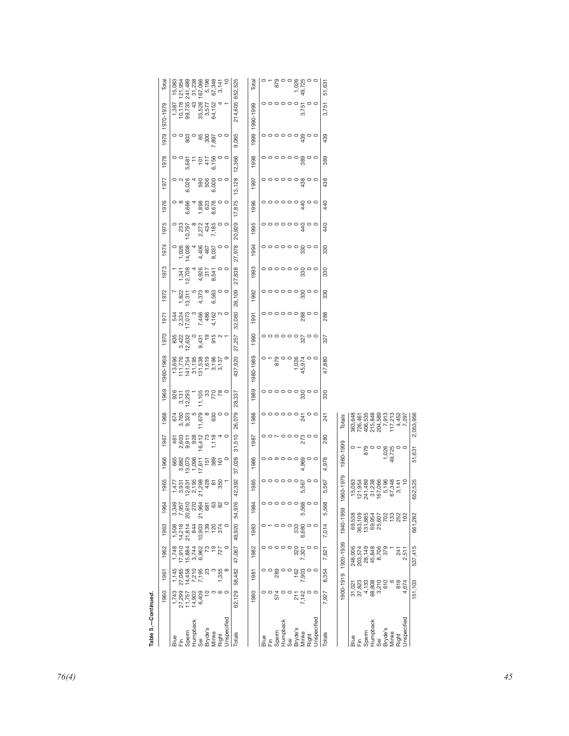| $\mathcal{S}$<br>1970<br>1990<br>$0.431$<br>$0.431$<br>$0.61$<br>$0.71$<br>$0.71$<br>$\begin{array}{c} 0 & 0 & 0 & 0 & 0 \\ 0 & 0 & 0 & 0 \\ 0 & 0 & 0 & 0 \\ 0 & 0 & 0 & 0 \\ 0 & 0 & 0 & 0 \\ 0 & 0 & 0 & 0 \\ 0 & 0 & 0 & 0 \\ 0 & 0 & 0 & 0 \\ 0 & 0 & 0 & 0 \\ 0 & 0 & 0 & 0 \\ 0 & 0 & 0 & 0 \\ 0 & 0 & 0 & 0 & 0 \\ 0 & 0 & 0 & 0 & 0 \\ 0 & 0 & 0 & 0 & 0 \\ 0 & 0 & 0 & 0 & 0 \\ 0 & 0 & 0 & 0 & 0 & 0 \\$<br>832<br>832<br>846<br>,257<br>327<br>ω σ<br>27<br>1960-1969<br>1980-1989<br>,920<br>$\circ$ - $\circ$ - $\circ$ - $\circ$ - $\circ$ - $\circ$ - $\circ$ - $\circ$ - $\circ$<br>$\begin{array}{l} 13,696 \\ 111,776 \\ 141,754 \\ 151,99 \\ 163 \\ 183 \\ 199 \\ 199 \\ 133 \\ 137 \\ \end{array}$<br>47,880<br>တ<br>÷<br>45<br>437<br>1969<br>1989<br>$\circ$ $\circ$ $\circ$ $\circ$ $\circ$ $\circ$ $\circ$<br>926<br>3,131<br>12,293<br>$\frac{11,105}{770}$<br>$\frac{33}{780}$<br>330<br>337<br>$\frac{8}{2}$ | n<br>200800<br>109<br>$\circ$ $\circ$ $\circ$ $\circ$ $\circ$ $\circ$ $\circ$<br>$\frac{1,822}{13,311}$<br>330<br>$\sim$<br>Ю<br>1992<br>197<br>4,37<br>26,<br>Ö<br>$\begin{bmatrix} 544 \\ 2324 \\ 2324 \\ 244 \\ 544 \end{bmatrix}$<br>7,466<br>4,462<br>7,462<br>4,70<br>,060<br>288<br>1991<br>197 | 27<br>ო<br>1993<br>838<br>$\circ$ $\circ$ $\circ$ $\circ$ $\circ$ $\circ$ $\circ$<br>1,341<br>12,708<br>4,926<br>317<br>8,541<br>$\circ$ $\circ$<br>330<br>4<br>197<br>27 | ,929<br>$\frac{4}{3}$<br>S<br>$\begin{array}{c} 0 \\ 233 \\ 10,797 \end{array}$<br>$\infty$<br>2,272<br>434<br>7,185<br>440<br>$\circ$<br>$\circ$<br>1995<br>197<br>$\overline{5}$<br>ᆉ<br>978<br>1994<br>$\circ$ $\circ$ $\circ$ $\circ$ $\circ$ $\circ$ $\circ$<br>$\circ$<br>1,026<br>14,038<br>4,406<br>467<br>8,037<br>$\circ$ $\circ$<br>330<br>197. | 197<br>13,<br>ဖ<br>ဖ<br>1,898<br>623<br>8,676<br>875<br>$\frac{4}{3}$<br>1976<br>၀ ∞ ဖွ<br>စစ္တ<br>4<br>440<br>$\circ$<br>1996<br>ဖ<br>17. | 1978<br>5,681<br>101<br>6,156<br>6,156<br>,366<br>389<br>0<br>0<br>$\circ$<br>1998<br>$\circ$<br>51<br>590<br>500<br>500<br>,128<br>$\circ$ $\circ$ $\circ$ $\circ$ $\circ$ $\circ$ $\circ$ $\circ$<br>$\frac{1}{2}$<br>4<br>$\circ$ $\circ$<br>1997<br>438 |
|------------------------------------------------------------------------------------------------------------------------------------------------------------------------------------------------------------------------------------------------------------------------------------------------------------------------------------------------------------------------------------------------------------------------------------------------------------------------------------------------------------------------------------------------------------------------------------------------------------------------------------------------------------------------------------------------------------------------------------------------------------------------------------------------------------------------------------------------------------------------------------------------------------------------------------------|--------------------------------------------------------------------------------------------------------------------------------------------------------------------------------------------------------------------------------------------------------------------------------------------------------|---------------------------------------------------------------------------------------------------------------------------------------------------------------------------|------------------------------------------------------------------------------------------------------------------------------------------------------------------------------------------------------------------------------------------------------------------------------------------------------------------------------------------------------------|--------------------------------------------------------------------------------------------------------------------------------------------|-------------------------------------------------------------------------------------------------------------------------------------------------------------------------------------------------------------------------------------------------------------|
| $\begin{array}{ccc}\n 6 & 0 & 0 & 0 \\  0 & 0 & 0 & 0 \\  0 & 0 & 0 & 0 \\  0 & 0 & 0 & 0\n \end{array}$<br>079<br>1988<br>363,648<br>726,461<br>726,535<br>406,5348<br>201,5452<br>7,452<br>17,452<br>17,452<br>2,053,956<br>1968<br>241<br>Totals<br>26<br>510<br>461<br>2,603<br>2,903<br>9,92<br>1,118<br>1,118<br>1,118<br>4<br>$\circ$<br>280<br>1987<br>1967<br>1980-1999                                                                                                                                                                                                                                                                                                                                                                                                                                                                                                                                                         |                                                                                                                                                                                                                                                                                                        |                                                                                                                                                                           |                                                                                                                                                                                                                                                                                                                                                            |                                                                                                                                            |                                                                                                                                                                                                                                                             |
|                                                                                                                                                                                                                                                                                                                                                                                                                                                                                                                                                                                                                                                                                                                                                                                                                                                                                                                                          |                                                                                                                                                                                                                                                                                                        |                                                                                                                                                                           |                                                                                                                                                                                                                                                                                                                                                            |                                                                                                                                            |                                                                                                                                                                                                                                                             |
|                                                                                                                                                                                                                                                                                                                                                                                                                                                                                                                                                                                                                                                                                                                                                                                                                                                                                                                                          |                                                                                                                                                                                                                                                                                                        |                                                                                                                                                                           |                                                                                                                                                                                                                                                                                                                                                            |                                                                                                                                            |                                                                                                                                                                                                                                                             |
|                                                                                                                                                                                                                                                                                                                                                                                                                                                                                                                                                                                                                                                                                                                                                                                                                                                                                                                                          |                                                                                                                                                                                                                                                                                                        |                                                                                                                                                                           |                                                                                                                                                                                                                                                                                                                                                            |                                                                                                                                            |                                                                                                                                                                                                                                                             |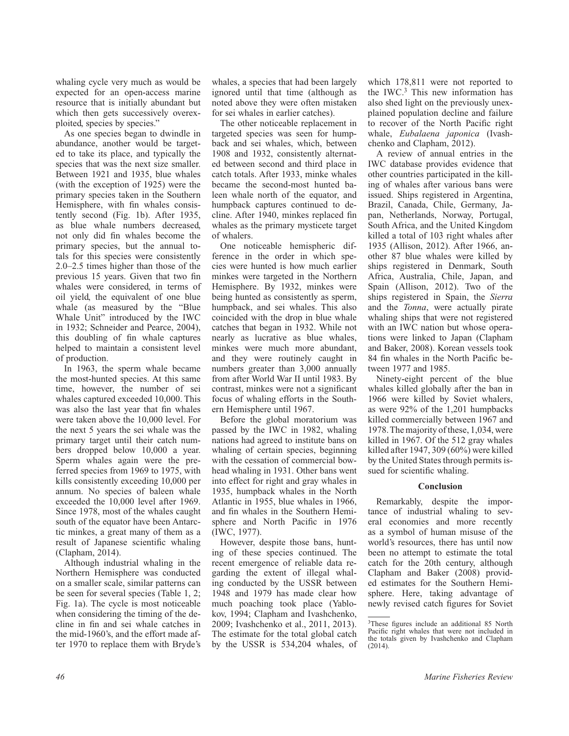whaling cycle very much as would be expected for an open-access marine resource that is initially abundant but which then gets successively overexploited, species by species."

As one species began to dwindle in abundance, another would be targeted to take its place, and typically the species that was the next size smaller. Between 1921 and 1935, blue whales (with the exception of 1925) were the primary species taken in the Southern Hemisphere, with fin whales consistently second (Fig. 1b). After 1935, as blue whale numbers decreased, not only did fin whales become the primary species, but the annual totals for this species were consistently 2.0–2.5 times higher than those of the previous 15 years. Given that two fin whales were considered, in terms of oil yield, the equivalent of one blue whale (as measured by the "Blue Whale Unit" introduced by the IWC in 1932; Schneider and Pearce, 2004), this doubling of fin whale captures helped to maintain a consistent level of production.

In 1963, the sperm whale became the most-hunted species. At this same time, however, the number of sei whales captured exceeded 10,000. This was also the last year that fin whales were taken above the 10,000 level. For the next 5 years the sei whale was the primary target until their catch numbers dropped below 10,000 a year. Sperm whales again were the preferred species from 1969 to 1975, with kills consistently exceeding 10,000 per annum. No species of baleen whale exceeded the 10,000 level after 1969. Since 1978, most of the whales caught south of the equator have been Antarctic minkes, a great many of them as a result of Japanese scientific whaling (Clapham, 2014).

Although industrial whaling in the Northern Hemisphere was conducted on a smaller scale, similar patterns can be seen for several species (Table 1, 2; Fig. 1a). The cycle is most noticeable when considering the timing of the decline in fin and sei whale catches in the mid-1960's, and the effort made after 1970 to replace them with Bryde's

whales, a species that had been largely ignored until that time (although as noted above they were often mistaken for sei whales in earlier catches).

The other noticeable replacement in targeted species was seen for humpback and sei whales, which, between 1908 and 1932, consistently alternated between second and third place in catch totals. After 1933, minke whales became the second-most hunted baleen whale north of the equator, and humpback captures continued to decline. After 1940, minkes replaced fin whales as the primary mysticete target of whalers.

One noticeable hemispheric difference in the order in which species were hunted is how much earlier minkes were targeted in the Northern Hemisphere. By 1932, minkes were being hunted as consistently as sperm, humpback, and sei whales. This also coincided with the drop in blue whale catches that began in 1932. While not nearly as lucrative as blue whales, minkes were much more abundant, and they were routinely caught in numbers greater than 3,000 annually from after World War II until 1983. By contrast, minkes were not a significant focus of whaling efforts in the Southern Hemisphere until 1967.

Before the global moratorium was passed by the IWC in 1982, whaling nations had agreed to institute bans on whaling of certain species, beginning with the cessation of commercial bowhead whaling in 1931. Other bans went into effect for right and gray whales in 1935, humpback whales in the North Atlantic in 1955, blue whales in 1966, and fin whales in the Southern Hemisphere and North Pacific in 1976 (IWC, 1977).

However, despite those bans, hunting of these species continued. The recent emergence of reliable data regarding the extent of illegal whaling conducted by the USSR between 1948 and 1979 has made clear how much poaching took place (Yablokov, 1994; Clapham and Ivashchenko, 2009; Ivashchenko et al., 2011, 2013). The estimate for the total global catch by the USSR is 534,204 whales, of which 178,811 were not reported to the IWC.3 This new information has also shed light on the previously unexplained population decline and failure to recover of the North Pacific right whale, *Eubalaena japonica* (Ivashchenko and Clapham, 2012).

A review of annual entries in the IWC database provides evidence that other countries participated in the killing of whales after various bans were issued. Ships registered in Argentina, Brazil, Canada, Chile, Germany, Japan, Netherlands, Norway, Portugal, South Africa, and the United Kingdom killed a total of 103 right whales after 1935 (Allison, 2012). After 1966, another 87 blue whales were killed by ships registered in Denmark, South Africa, Australia, Chile, Japan, and Spain (Allison, 2012). Two of the ships registered in Spain, the *Sierra* and the *Tonna*, were actually pirate whaling ships that were not registered with an IWC nation but whose operations were linked to Japan (Clapham and Baker, 2008). Korean vessels took 84 fin whales in the North Pacific between 1977 and 1985.

Ninety-eight percent of the blue whales killed globally after the ban in 1966 were killed by Soviet whalers, as were 92% of the 1,201 humpbacks killed commercially between 1967 and 1978. The majority of these, 1,034, were killed in 1967. Of the 512 gray whales killed after 1947, 309 (60%) were killed by the United States through permits issued for scientific whaling.

### **Conclusion**

Remarkably, despite the importance of industrial whaling to several economies and more recently as a symbol of human misuse of the world's resources, there has until now been no attempt to estimate the total catch for the 20th century, although Clapham and Baker (2008) provided estimates for the Southern Hemisphere. Here, taking advantage of newly revised catch figures for Soviet

<sup>3</sup>These figures include an additional 85 North Pacific right whales that were not included in

(2014).

the totals given by Ivashchenko and Clapham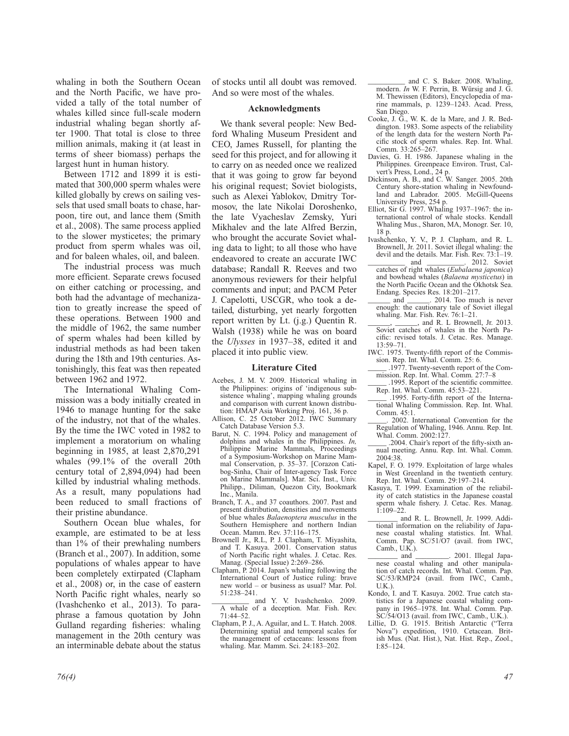whaling in both the Southern Ocean and the North Pacific, we have provided a tally of the total number of whales killed since full-scale modern industrial whaling began shortly after 1900. That total is close to three million animals, making it (at least in terms of sheer biomass) perhaps the largest hunt in human history.

Between 1712 and 1899 it is estimated that 300,000 sperm whales were killed globally by crews on sailing vessels that used small boats to chase, harpoon, tire out, and lance them (Smith et al., 2008). The same process applied to the slower mysticetes; the primary product from sperm whales was oil, and for baleen whales, oil, and baleen.

The industrial process was much more efficient. Separate crews focused on either catching or processing, and both had the advantage of mechanization to greatly increase the speed of these operations. Between 1900 and the middle of 1962, the same number of sperm whales had been killed by industrial methods as had been taken during the 18th and 19th centuries. Astonishingly, this feat was then repeated between 1962 and 1972.

The International Whaling Commission was a body initially created in 1946 to manage hunting for the sake of the industry, not that of the whales. By the time the IWC voted in 1982 to implement a moratorium on whaling beginning in 1985, at least 2,870,291 whales (99.1% of the overall 20th century total of 2,894,094) had been killed by industrial whaling methods. As a result, many populations had been reduced to small fractions of their pristine abundance.

Southern Ocean blue whales, for example, are estimated to be at less than 1% of their prewhaling numbers (Branch et al., 2007). In addition, some populations of whales appear to have been completely extirpated (Clapham et al., 2008) or, in the case of eastern North Pacific right whales, nearly so (Ivashchenko et al., 2013). To paraphrase a famous quotation by John Gulland regarding fisheries: whaling management in the 20th century was an interminable debate about the status of stocks until all doubt was removed. And so were most of the whales.

### **Acknowledgments**

We thank several people: New Bedford Whaling Museum President and CEO, James Russell, for planting the seed for this project, and for allowing it to carry on as needed once we realized that it was going to grow far beyond his original request; Soviet biologists, such as Alexei Yablokov, Dmitry Tormosov, the late Nikolai Doroshenko, the late Vyacheslav Zemsky, Yuri Mikhalev and the late Alfred Berzin, who brought the accurate Soviet whaling data to light; to all those who have endeavored to create an accurate IWC database; Randall R. Reeves and two anonymous reviewers for their helpful comments and input; and PACM Peter J. Capelotti, USCGR, who took a detailed, disturbing, yet nearly forgotten report written by Lt. (j.g.) Quentin R. Walsh (1938) while he was on board the *Ulysses* in 1937–38, edited it and placed it into public view.

### **Literature Cited**

- Acebes, J. M. V. 2009. Historical whaling in the Philippines: origins of 'indigenous subsistence whaling', mapping whaling grounds and comparison with current known distribution: HMAP Asia Working Proj. 161, 36 p.
- Allison, C. 25 October 2012. IWC Summary Catch Database Version 5.3.
- Barut, N. C. 1994. Policy and management of dolphins and whales in the Philippines. *In,*  Philippine Marine Mammals, Proceedings of a Symposium-Workshop on Marine Mammal Conservation, p. 35–37. [Corazon Catibog-Sinha, Chair of Inter-agency Task Force on Marine Mammals]. Mar. Sci. Inst., Univ. Philipp., Diliman, Quezon City, Bookmark Inc., Manila.
- Branch, T. A., and 37 coauthors. 2007. Past and present distribution, densities and movements of blue whales *Balaenoptera musculus* in the Southern Hemisphere and northern Indian Ocean. Mamm. Rev. 37:116–175.
- Brownell Jr., R.L, P. J. Clapham, T. Miyashita, and T. Kasuya. 2001. Conservation status of North Pacific right whales. J. Cetac. Res. Manag. (Special Issue) 2:269–286.
- Clapham, P. 2014. Japan's whaling following the International Court of Justice ruling: brave new world – or business as usual? Mar. Pol. 51:238–241.

and Y. V. Ivashchenko. 2009. A whale of a deception. Mar. Fish. Rev. 71:44–52.

Clapham, P. J., A. Aguilar, and L. T. Hatch. 2008. Determining spatial and temporal scales for the management of cetaceans: lessons from whaling. Mar. Mamm. Sci. 24:183–202.

and C. S. Baker. 2008. Whaling, modern. *In* W. F. Perrin, B. Würsig and J. G. M. Thewissen (Editors), Encyclopedia of marine mammals, p. 1239–1243. Acad. Press, San Diego.

- Cooke, J. G., W. K. de la Mare, and J. R. Beddington. 1983. Some aspects of the reliability of the length data for the western North Pacific stock of sperm whales. Rep. Int. Whal. Comm. 33:265–267.
- Davies, G. H. 1986. Japanese whaling in the Philippines. Greenpeace Environ. Trust, Calvert's Press, Lond., 24 p.
- Dickinson, A. B., and C. W. Sanger. 2005. 20th Century shore-station whaling in Newfoundland and Labrador. 2005. McGill-Queens University Press, 254 p.
- Elliot, Sir G. 1997. Whaling 1937–1967: the international control of whale stocks. Kendall Whaling Mus., Sharon, MA, Monogr. Ser. 10, 18 p.
- Ivashchenko, Y. V., P. J. Clapham, and R. L. Brownell, Jr. 2011. Soviet illegal whaling: the devil and the details. Mar. Fish. Rev. 73:1–19.<br>and . 2012. Soviet 2012. Soviet
- catches of right whales (*Eubalaena japonica*) and bowhead whales (*Balaena mysticetus*) in the North Pacific Ocean and the Okhotsk Sea. Endang. Species Res. 18:201–217.
- \_\_\_\_\_\_ and \_\_\_\_\_\_. 2014. Too much is never enough: the cautionary tale of Soviet illegal whaling. Mar. Fish. Rev. 76:1–21.
- \_\_\_\_\_\_, \_\_\_\_\_\_, and R. L Brownell, Jr. 2013. Soviet catches of whales in the North Pacific: revised totals. J. Cetac. Res. Manage. 13:59–71.
- IWC. 1975. Twenty-fifth report of the Commission. Rep. Int. Whal. Comm. 25: 6.
- \_\_\_\_\_ .1977. Twenty-seventh report of the Commission. Rep. Int. Whal. Comm*.* 27:7–8
- \_\_\_\_\_ .1995. Report of the scientifi c committee. Rep. Int. Whal. Comm. 45:53–221.
- \_\_\_\_\_ .1995. Forty-fi fth report of the International Whaling Commission. Rep. Int. Whal. Comm.  $45.1$ .
- \_\_\_\_\_. 2002. International Convention for the Regulation of Whaling, 1946. Annu. Rep. Int. Whal. Comm. 2002:127.

.2004. Chair's report of the fifty-sixth annual meeting. Annu. Rep. Int. Whal. Comm. 2004:38.

- Kapel, F. O. 1979. Exploitation of large whales in West Greenland in the twentieth century. Rep. Int. Whal. Comm. 29:197–214.
- Kasuya, T. 1999. Examination of the reliability of catch statistics in the Japanese coastal sperm whale fishery. J. Cetac. Res. Manag.  $1:109 - 22$ .
- and R. L. Brownell, Jr. 1999. Additional information on the reliability of Japanese coastal whaling statistics. Int. Whal. Comm. Pap. SC/51/O7 (avail. from IWC,  $Camb., U.K.).$ <br>and  $\overline{\phantom{a}}$
- 2001. Illegal Japanese coastal whaling and other manipulation of catch records. Int. Whal. Comm. Pap. SC/53/RMP24 (avail. from IWC, Camb., U.K.).
- Kondo, I. and T. Kasuya. 2002. True catch statistics for a Japanese coastal whaling company in 1965–1978. Int. Whal. Comm. Pap.  $SC/54/O13$  (avail. from IWC, Camb., U.K.).
- Lillie, D. G. 1915. British Antarctic ("Terra Nova") expedition, 1910. Cetacean. British Mus. (Nat. Hist.), Nat. Hist. Rep., Zool., I:85–124.